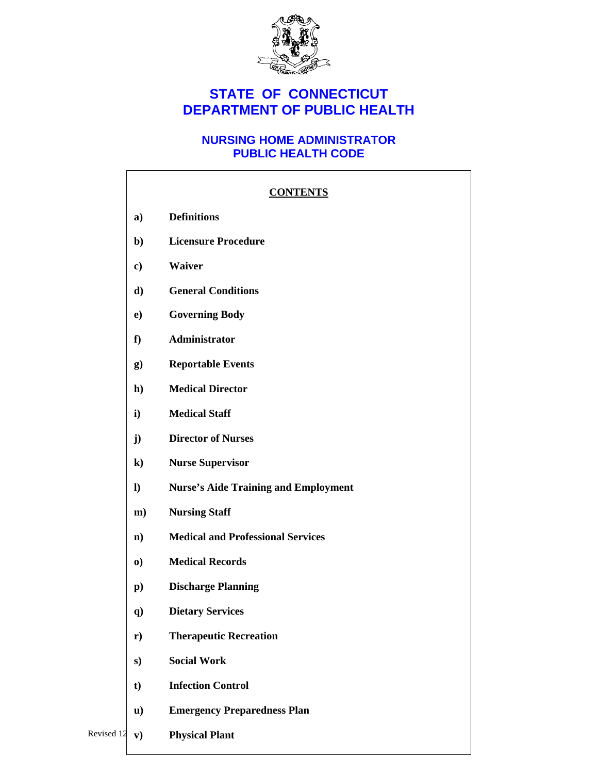

# **STATE OF CONNECTICUT DEPARTMENT OF PUBLIC HEALTH**

### **NURSING HOME ADMINISTRATOR PUBLIC HEALTH CODE**

|            |                | <b>CONTENTS</b>                             |
|------------|----------------|---------------------------------------------|
|            | a)             | <b>Definitions</b>                          |
|            | $\mathbf{b}$   | <b>Licensure Procedure</b>                  |
|            | c)             | Waiver                                      |
|            | d)             | <b>General Conditions</b>                   |
|            | $\bf e)$       | <b>Governing Body</b>                       |
|            | f              | Administrator                               |
|            | g)             | <b>Reportable Events</b>                    |
|            | $\mathbf{h}$   | <b>Medical Director</b>                     |
|            | i)             | <b>Medical Staff</b>                        |
|            | $\mathbf{j}$   | <b>Director of Nurses</b>                   |
|            | $\bf k)$       | <b>Nurse Supervisor</b>                     |
|            | $\bf{l}$       | <b>Nurse's Aide Training and Employment</b> |
|            | $\mathbf{m}$ ) | <b>Nursing Staff</b>                        |
|            | $\mathbf{n}$   | <b>Medical and Professional Services</b>    |
|            | $\bf{0}$       | <b>Medical Records</b>                      |
|            | $\mathbf{p}$ ) | <b>Discharge Planning</b>                   |
|            | q)             | <b>Dietary Services</b>                     |
|            | $\mathbf{r})$  | <b>Therapeutic Recreation</b>               |
|            | s)             | <b>Social Work</b>                          |
|            | $t$            | <b>Infection Control</b>                    |
|            | $\mathbf{u}$   | <b>Emergency Preparedness Plan</b>          |
| Revised 12 | ${\bf v})$     | <b>Physical Plant</b>                       |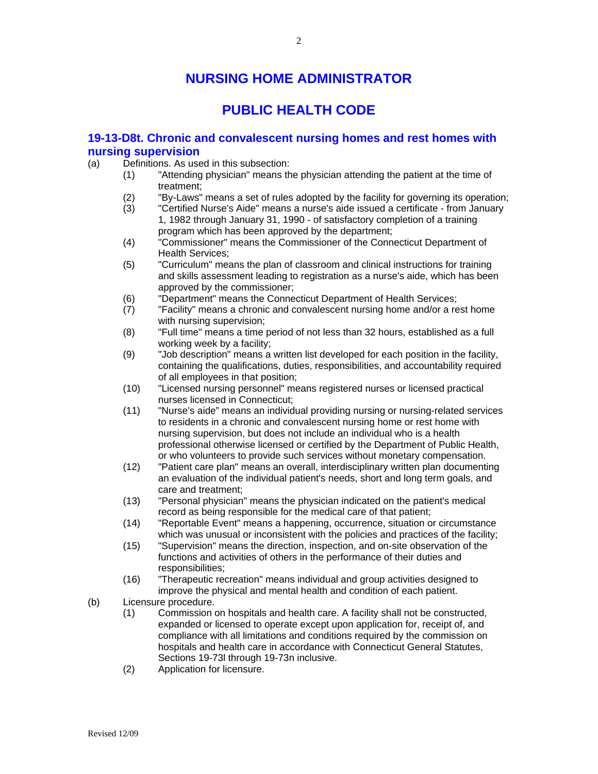# **NURSING HOME ADMINISTRATOR**

# **PUBLIC HEALTH CODE**

#### **19-13-D8t. Chronic and convalescent nursing homes and rest homes with nursing supervision**

- (a) Definitions. As used in this subsection:
	- (1) "Attending physician" means the physician attending the patient at the time of treatment;
	- (2) "By-Laws" means a set of rules adopted by the facility for governing its operation;
	- (3) "Certified Nurse's Aide" means a nurse's aide issued a certificate from January 1, 1982 through January 31, 1990 - of satisfactory completion of a training program which has been approved by the department;
	- (4) "Commissioner" means the Commissioner of the Connecticut Department of Health Services;
	- (5) "Curriculum" means the plan of classroom and clinical instructions for training and skills assessment leading to registration as a nurse's aide, which has been approved by the commissioner;
	- (6) "Department" means the Connecticut Department of Health Services;
	- (7) "Facility" means a chronic and convalescent nursing home and/or a rest home with nursing supervision;
	- (8) "Full time" means a time period of not less than 32 hours, established as a full working week by a facility;
	- (9) "Job description" means a written list developed for each position in the facility, containing the qualifications, duties, responsibilities, and accountability required of all employees in that position;
	- (10) "Licensed nursing personnel" means registered nurses or licensed practical nurses licensed in Connecticut;
	- (11) "Nurse's aide" means an individual providing nursing or nursing-related services to residents in a chronic and convalescent nursing home or rest home with nursing supervision, but does not include an individual who is a health professional otherwise licensed or certified by the Department of Public Health, or who volunteers to provide such services without monetary compensation.
	- (12) "Patient care plan" means an overall, interdisciplinary written plan documenting an evaluation of the individual patient's needs, short and long term goals, and care and treatment;
	- (13) "Personal physician" means the physician indicated on the patient's medical record as being responsible for the medical care of that patient;
	- (14) "Reportable Event" means a happening, occurrence, situation or circumstance which was unusual or inconsistent with the policies and practices of the facility;
	- (15) "Supervision" means the direction, inspection, and on-site observation of the functions and activities of others in the performance of their duties and responsibilities;
	- (16) "Therapeutic recreation" means individual and group activities designed to improve the physical and mental health and condition of each patient.
- (b) Licensure procedure.
	- (1) Commission on hospitals and health care. A facility shall not be constructed, expanded or licensed to operate except upon application for, receipt of, and compliance with all limitations and conditions required by the commission on hospitals and health care in accordance with Connecticut General Statutes, Sections 19-73l through 19-73n inclusive.
	- (2) Application for licensure.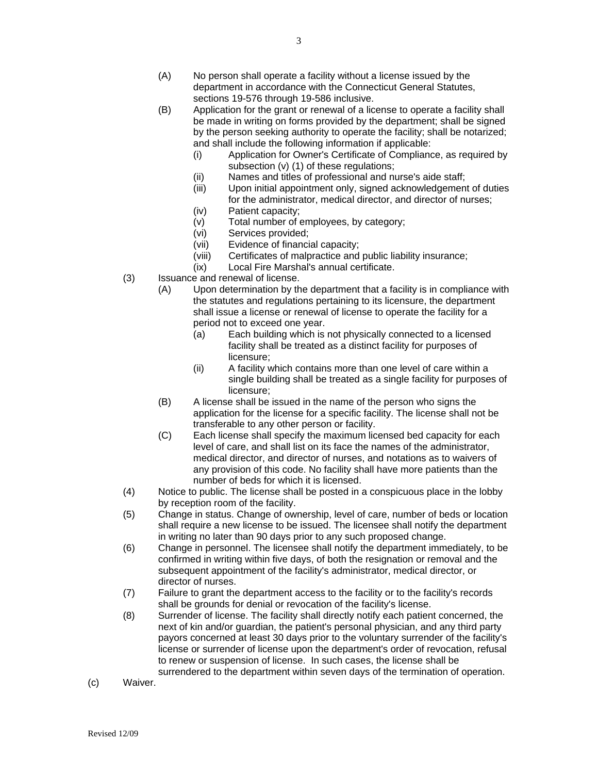- (B) Application for the grant or renewal of a license to operate a facility shall be made in writing on forms provided by the department; shall be signed by the person seeking authority to operate the facility; shall be notarized; and shall include the following information if applicable:
	- (i) Application for Owner's Certificate of Compliance, as required by subsection (v) (1) of these regulations;
	- (ii) Names and titles of professional and nurse's aide staff;
	- (iii) Upon initial appointment only, signed acknowledgement of duties for the administrator, medical director, and director of nurses;
	- (iv) Patient capacity;
	- (v) Total number of employees, by category;
	- (vi) Services provided;
	- (vii) Evidence of financial capacity;
	- (viii) Certificates of malpractice and public liability insurance;
	- (ix) Local Fire Marshal's annual certificate.
- (3) Issuance and renewal of license.
	- (A) Upon determination by the department that a facility is in compliance with the statutes and regulations pertaining to its licensure, the department shall issue a license or renewal of license to operate the facility for a period not to exceed one year.
		- (a) Each building which is not physically connected to a licensed facility shall be treated as a distinct facility for purposes of licensure;
		- (ii) A facility which contains more than one level of care within a single building shall be treated as a single facility for purposes of licensure;
	- (B) A license shall be issued in the name of the person who signs the application for the license for a specific facility. The license shall not be transferable to any other person or facility.
	- (C) Each license shall specify the maximum licensed bed capacity for each level of care, and shall list on its face the names of the administrator, medical director, and director of nurses, and notations as to waivers of any provision of this code. No facility shall have more patients than the number of beds for which it is licensed.
- (4) Notice to public. The license shall be posted in a conspicuous place in the lobby by reception room of the facility.
- (5) Change in status. Change of ownership, level of care, number of beds or location shall require a new license to be issued. The licensee shall notify the department in writing no later than 90 days prior to any such proposed change.
- (6) Change in personnel. The licensee shall notify the department immediately, to be confirmed in writing within five days, of both the resignation or removal and the subsequent appointment of the facility's administrator, medical director, or director of nurses.
- (7) Failure to grant the department access to the facility or to the facility's records shall be grounds for denial or revocation of the facility's license.
- (8) Surrender of license. The facility shall directly notify each patient concerned, the next of kin and/or guardian, the patient's personal physician, and any third party payors concerned at least 30 days prior to the voluntary surrender of the facility's license or surrender of license upon the department's order of revocation, refusal to renew or suspension of license. In such cases, the license shall be surrendered to the department within seven days of the termination of operation.
- (c) Waiver.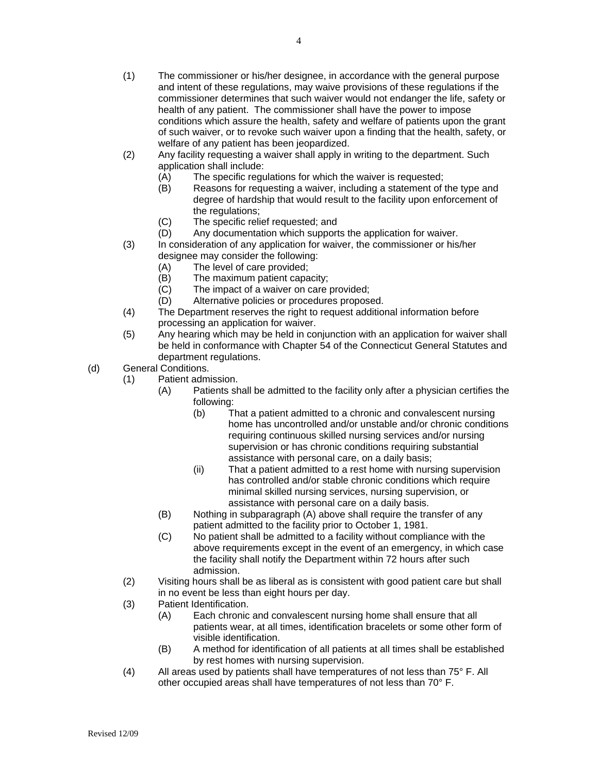- (1) The commissioner or his/her designee, in accordance with the general purpose and intent of these regulations, may waive provisions of these regulations if the commissioner determines that such waiver would not endanger the life, safety or health of any patient. The commissioner shall have the power to impose conditions which assure the health, safety and welfare of patients upon the grant of such waiver, or to revoke such waiver upon a finding that the health, safety, or welfare of any patient has been jeopardized.
- (2) Any facility requesting a waiver shall apply in writing to the department. Such application shall include:
	- (A) The specific regulations for which the waiver is requested;
	- (B) Reasons for requesting a waiver, including a statement of the type and degree of hardship that would result to the facility upon enforcement of the regulations;
	- (C) The specific relief requested; and
	- (D) Any documentation which supports the application for waiver.
- (3) In consideration of any application for waiver, the commissioner or his/her designee may consider the following:
	- (A) The level of care provided;
	- (B) The maximum patient capacity;
	- (C) The impact of a waiver on care provided;
	- (D) Alternative policies or procedures proposed.
- (4) The Department reserves the right to request additional information before processing an application for waiver.
- (5) Any hearing which may be held in conjunction with an application for waiver shall be held in conformance with Chapter 54 of the Connecticut General Statutes and department regulations.

(d) General Conditions.

- (1) Patient admission.
	- (A) Patients shall be admitted to the facility only after a physician certifies the following:
		- (b) That a patient admitted to a chronic and convalescent nursing home has uncontrolled and/or unstable and/or chronic conditions requiring continuous skilled nursing services and/or nursing supervision or has chronic conditions requiring substantial assistance with personal care, on a daily basis;
		- (ii) That a patient admitted to a rest home with nursing supervision has controlled and/or stable chronic conditions which require minimal skilled nursing services, nursing supervision, or assistance with personal care on a daily basis.
	- (B) Nothing in subparagraph (A) above shall require the transfer of any patient admitted to the facility prior to October 1, 1981.
	- (C) No patient shall be admitted to a facility without compliance with the above requirements except in the event of an emergency, in which case the facility shall notify the Department within 72 hours after such admission.
- (2) Visiting hours shall be as liberal as is consistent with good patient care but shall in no event be less than eight hours per day.
- (3) Patient Identification.
	- (A) Each chronic and convalescent nursing home shall ensure that all patients wear, at all times, identification bracelets or some other form of visible identification.
	- (B) A method for identification of all patients at all times shall be established by rest homes with nursing supervision.
- (4) All areas used by patients shall have temperatures of not less than 75° F. All other occupied areas shall have temperatures of not less than 70° F.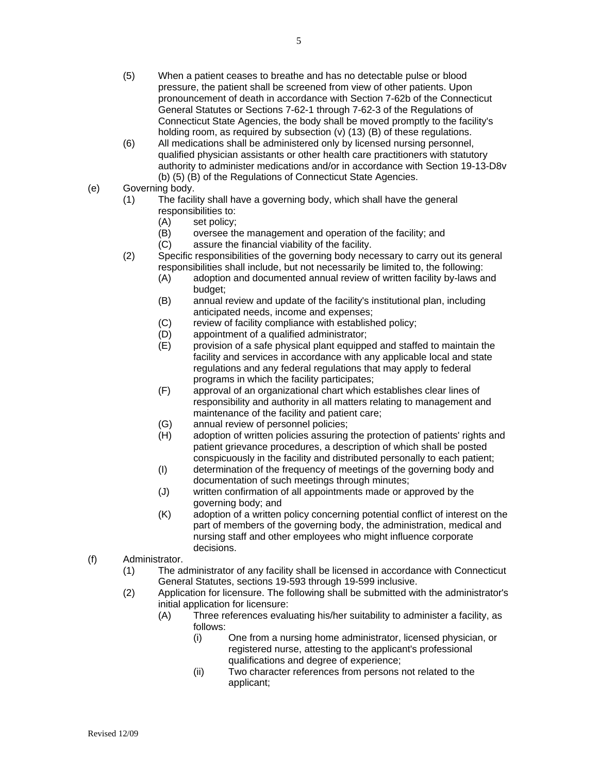- (5) When a patient ceases to breathe and has no detectable pulse or blood pressure, the patient shall be screened from view of other patients. Upon pronouncement of death in accordance with Section 7-62b of the Connecticut General Statutes or Sections 7-62-1 through 7-62-3 of the Regulations of Connecticut State Agencies, the body shall be moved promptly to the facility's holding room, as required by subsection (v) (13) (B) of these regulations.
- (6) All medications shall be administered only by licensed nursing personnel, qualified physician assistants or other health care practitioners with statutory authority to administer medications and/or in accordance with Section 19-13-D8v (b) (5) (B) of the Regulations of Connecticut State Agencies.
- (e) Governing body.
	- (1) The facility shall have a governing body, which shall have the general responsibilities to:
		- (A) set policy;
		- (B) oversee the management and operation of the facility; and
		- (C) assure the financial viability of the facility.
		- (2) Specific responsibilities of the governing body necessary to carry out its general responsibilities shall include, but not necessarily be limited to, the following:
			- (A) adoption and documented annual review of written facility by-laws and budget;
			- (B) annual review and update of the facility's institutional plan, including anticipated needs, income and expenses;
			- (C) review of facility compliance with established policy;
			- (D) appointment of a qualified administrator;
			- (E) provision of a safe physical plant equipped and staffed to maintain the facility and services in accordance with any applicable local and state regulations and any federal regulations that may apply to federal programs in which the facility participates;
			- (F) approval of an organizational chart which establishes clear lines of responsibility and authority in all matters relating to management and maintenance of the facility and patient care;
			- (G) annual review of personnel policies;
			- (H) adoption of written policies assuring the protection of patients' rights and patient grievance procedures, a description of which shall be posted conspicuously in the facility and distributed personally to each patient;
			- (I) determination of the frequency of meetings of the governing body and documentation of such meetings through minutes;
			- (J) written confirmation of all appointments made or approved by the governing body; and
			- (K) adoption of a written policy concerning potential conflict of interest on the part of members of the governing body, the administration, medical and nursing staff and other employees who might influence corporate decisions.
- (f) Administrator.
	- (1) The administrator of any facility shall be licensed in accordance with Connecticut General Statutes, sections 19-593 through 19-599 inclusive.
	- (2) Application for licensure. The following shall be submitted with the administrator's initial application for licensure:
		- (A) Three references evaluating his/her suitability to administer a facility, as follows:
			- (i) One from a nursing home administrator, licensed physician, or registered nurse, attesting to the applicant's professional qualifications and degree of experience;
			- (ii) Two character references from persons not related to the applicant;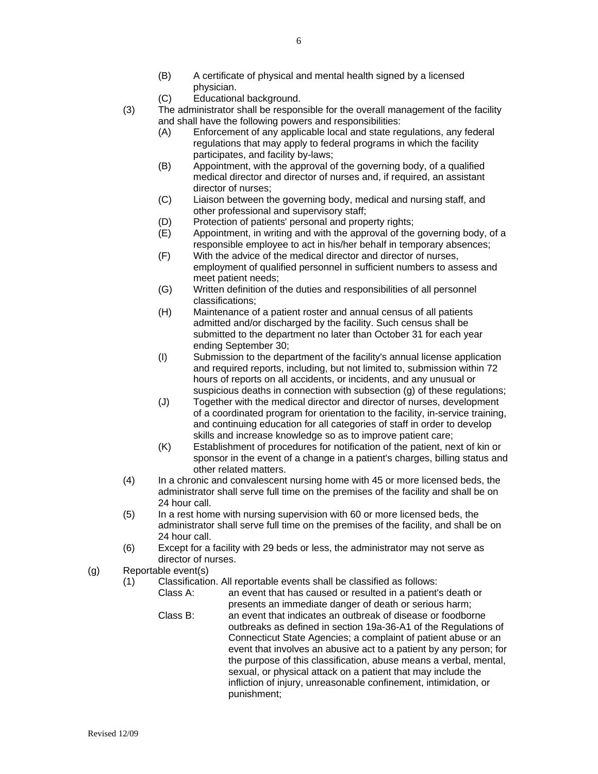- (B) A certificate of physical and mental health signed by a licensed physician.
- (C) Educational background.
- (3) The administrator shall be responsible for the overall management of the facility and shall have the following powers and responsibilities:
	- (A) Enforcement of any applicable local and state regulations, any federal regulations that may apply to federal programs in which the facility participates, and facility by-laws;
	- (B) Appointment, with the approval of the governing body, of a qualified medical director and director of nurses and, if required, an assistant director of nurses;
	- (C) Liaison between the governing body, medical and nursing staff, and other professional and supervisory staff;
	- (D) Protection of patients' personal and property rights;
	- (E) Appointment, in writing and with the approval of the governing body, of a responsible employee to act in his/her behalf in temporary absences;
	- (F) With the advice of the medical director and director of nurses, employment of qualified personnel in sufficient numbers to assess and meet patient needs;
	- (G) Written definition of the duties and responsibilities of all personnel classifications;
	- (H) Maintenance of a patient roster and annual census of all patients admitted and/or discharged by the facility. Such census shall be submitted to the department no later than October 31 for each year ending September 30;
	- (I) Submission to the department of the facility's annual license application and required reports, including, but not limited to, submission within 72 hours of reports on all accidents, or incidents, and any unusual or suspicious deaths in connection with subsection (g) of these regulations;
	- (J) Together with the medical director and director of nurses, development of a coordinated program for orientation to the facility, in-service training, and continuing education for all categories of staff in order to develop skills and increase knowledge so as to improve patient care;
	- (K) Establishment of procedures for notification of the patient, next of kin or sponsor in the event of a change in a patient's charges, billing status and other related matters.
- (4) In a chronic and convalescent nursing home with 45 or more licensed beds, the administrator shall serve full time on the premises of the facility and shall be on 24 hour call.
- (5) In a rest home with nursing supervision with 60 or more licensed beds, the administrator shall serve full time on the premises of the facility, and shall be on 24 hour call.
- (6) Except for a facility with 29 beds or less, the administrator may not serve as director of nurses.
- (g) Reportable event(s)
	- (1) Classification. All reportable events shall be classified as follows:
		- Class A: an event that has caused or resulted in a patient's death or presents an immediate danger of death or serious harm;
		- Class B: an event that indicates an outbreak of disease or foodborne outbreaks as defined in section 19a-36-A1 of the Regulations of Connecticut State Agencies; a complaint of patient abuse or an event that involves an abusive act to a patient by any person; for the purpose of this classification, abuse means a verbal, mental, sexual, or physical attack on a patient that may include the infliction of injury, unreasonable confinement, intimidation, or punishment;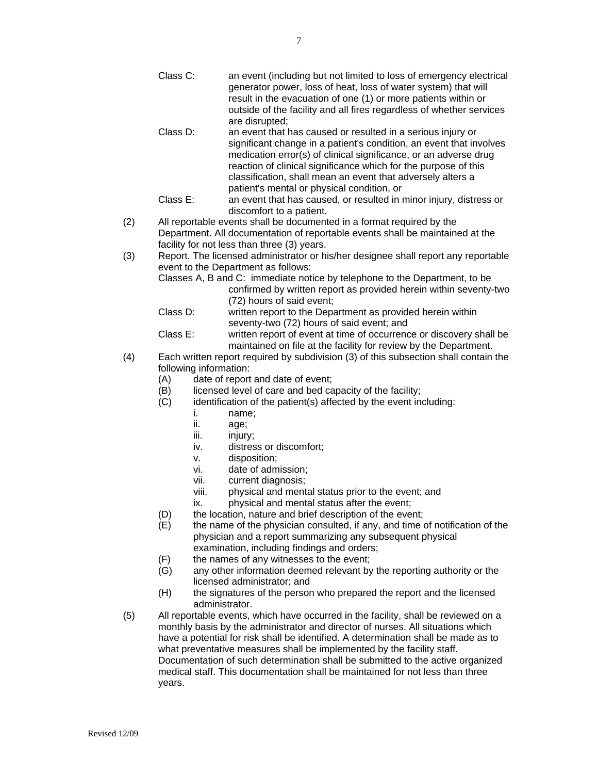- Class C: an event (including but not limited to loss of emergency electrical generator power, loss of heat, loss of water system) that will result in the evacuation of one (1) or more patients within or outside of the facility and all fires regardless of whether services are disrupted;
- Class D: an event that has caused or resulted in a serious injury or significant change in a patient's condition, an event that involves medication error(s) of clinical significance, or an adverse drug reaction of clinical significance which for the purpose of this classification, shall mean an event that adversely alters a patient's mental or physical condition, or
- Class E: an event that has caused, or resulted in minor injury, distress or discomfort to a patient.
- (2) All reportable events shall be documented in a format required by the Department. All documentation of reportable events shall be maintained at the facility for not less than three (3) years.
- (3) Report. The licensed administrator or his/her designee shall report any reportable event to the Department as follows:
	- Classes A, B and C: immediate notice by telephone to the Department, to be confirmed by written report as provided herein within seventy-two (72) hours of said event;
	- Class D: written report to the Department as provided herein within seventy-two (72) hours of said event; and
	- Class E: written report of event at time of occurrence or discovery shall be maintained on file at the facility for review by the Department.
- (4) Each written report required by subdivision (3) of this subsection shall contain the following information:
	- (A) date of report and date of event;
	- (B) licensed level of care and bed capacity of the facility;
	- (C) identification of the patient(s) affected by the event including:
		- i. name;
		- ii. age;
		- iii. injury;
		- iv. distress or discomfort;
		- v. disposition;
		- vi. date of admission;
		- vii. current diagnosis;
		- viii. physical and mental status prior to the event; and
		- ix. physical and mental status after the event;
	- (D) the location, nature and brief description of the event;
	- (E) the name of the physician consulted, if any, and time of notification of the physician and a report summarizing any subsequent physical examination, including findings and orders;
	- (F) the names of any witnesses to the event;
	- (G) any other information deemed relevant by the reporting authority or the licensed administrator; and
	- (H) the signatures of the person who prepared the report and the licensed administrator.
- (5) All reportable events, which have occurred in the facility, shall be reviewed on a monthly basis by the administrator and director of nurses. All situations which have a potential for risk shall be identified. A determination shall be made as to what preventative measures shall be implemented by the facility staff. Documentation of such determination shall be submitted to the active organized medical staff. This documentation shall be maintained for not less than three years.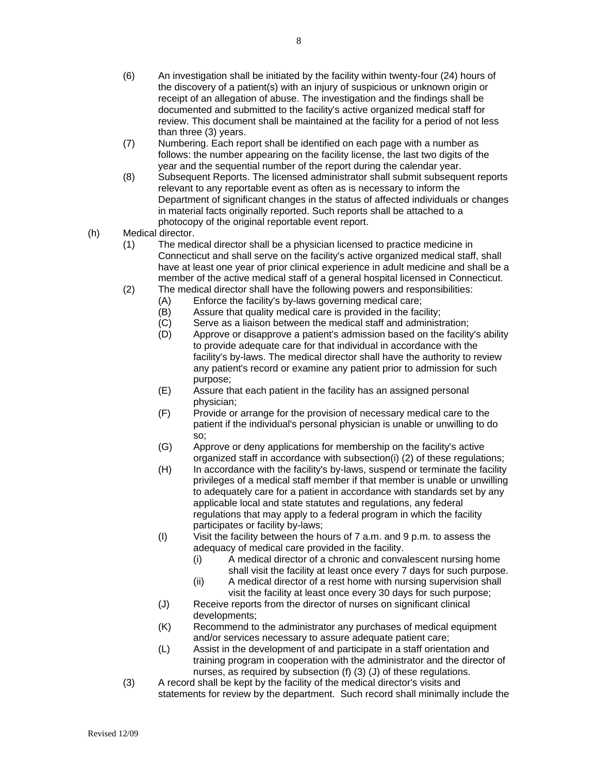- (6) An investigation shall be initiated by the facility within twenty-four (24) hours of the discovery of a patient(s) with an injury of suspicious or unknown origin or receipt of an allegation of abuse. The investigation and the findings shall be documented and submitted to the facility's active organized medical staff for review. This document shall be maintained at the facility for a period of not less than three (3) years.
- (7) Numbering. Each report shall be identified on each page with a number as follows: the number appearing on the facility license, the last two digits of the year and the sequential number of the report during the calendar year.
- (8) Subsequent Reports. The licensed administrator shall submit subsequent reports relevant to any reportable event as often as is necessary to inform the Department of significant changes in the status of affected individuals or changes in material facts originally reported. Such reports shall be attached to a photocopy of the original reportable event report.
- (h) Medical director.
	- (1) The medical director shall be a physician licensed to practice medicine in Connecticut and shall serve on the facility's active organized medical staff, shall have at least one year of prior clinical experience in adult medicine and shall be a member of the active medical staff of a general hospital licensed in Connecticut.
	- (2) The medical director shall have the following powers and responsibilities:
		- (A) Enforce the facility's by-laws governing medical care;
		- (B) Assure that quality medical care is provided in the facility;
		- (C) Serve as a liaison between the medical staff and administration;<br>(D) Approve or disapprove a patient's admission based on the facility
		- Approve or disapprove a patient's admission based on the facility's ability to provide adequate care for that individual in accordance with the facility's by-laws. The medical director shall have the authority to review any patient's record or examine any patient prior to admission for such purpose;
		- (E) Assure that each patient in the facility has an assigned personal physician;
		- (F) Provide or arrange for the provision of necessary medical care to the patient if the individual's personal physician is unable or unwilling to do so;
		- (G) Approve or deny applications for membership on the facility's active organized staff in accordance with subsection(i) (2) of these regulations;
		- (H) In accordance with the facility's by-laws, suspend or terminate the facility privileges of a medical staff member if that member is unable or unwilling to adequately care for a patient in accordance with standards set by any applicable local and state statutes and regulations, any federal regulations that may apply to a federal program in which the facility participates or facility by-laws;
		- (I) Visit the facility between the hours of 7 a.m. and 9 p.m. to assess the adequacy of medical care provided in the facility.
			- (i) A medical director of a chronic and convalescent nursing home shall visit the facility at least once every 7 days for such purpose.
			- (ii) A medical director of a rest home with nursing supervision shall visit the facility at least once every 30 days for such purpose;
		- (J) Receive reports from the director of nurses on significant clinical developments;
		- (K) Recommend to the administrator any purchases of medical equipment and/or services necessary to assure adequate patient care;
		- (L) Assist in the development of and participate in a staff orientation and training program in cooperation with the administrator and the director of nurses, as required by subsection (f) (3) (J) of these regulations.
	- (3) A record shall be kept by the facility of the medical director's visits and statements for review by the department. Such record shall minimally include the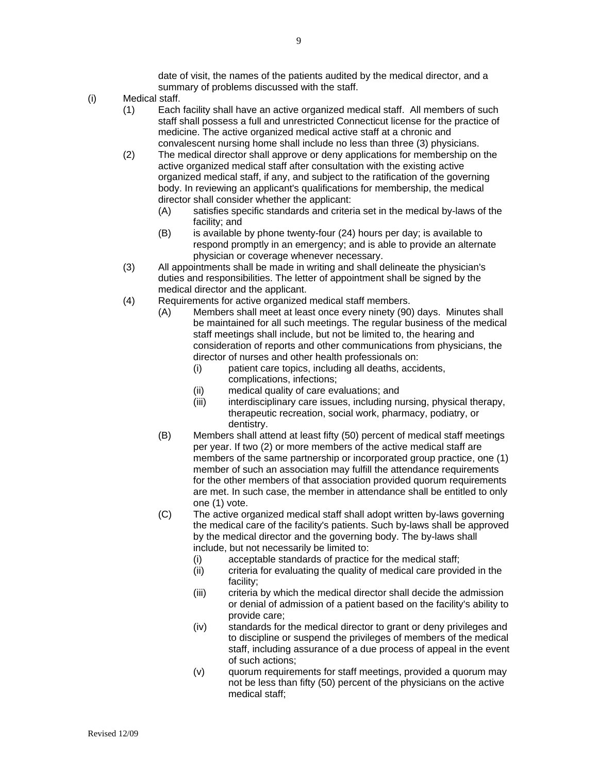date of visit, the names of the patients audited by the medical director, and a summary of problems discussed with the staff.

- (i) Medical staff.
	- (1) Each facility shall have an active organized medical staff. All members of such staff shall possess a full and unrestricted Connecticut license for the practice of medicine. The active organized medical active staff at a chronic and convalescent nursing home shall include no less than three (3) physicians.
	- (2) The medical director shall approve or deny applications for membership on the active organized medical staff after consultation with the existing active organized medical staff, if any, and subject to the ratification of the governing body. In reviewing an applicant's qualifications for membership, the medical director shall consider whether the applicant:
		- (A) satisfies specific standards and criteria set in the medical by-laws of the facility; and
		- (B) is available by phone twenty-four (24) hours per day; is available to respond promptly in an emergency; and is able to provide an alternate physician or coverage whenever necessary.
	- (3) All appointments shall be made in writing and shall delineate the physician's duties and responsibilities. The letter of appointment shall be signed by the medical director and the applicant.
	- (4) Requirements for active organized medical staff members.
		- (A) Members shall meet at least once every ninety (90) days. Minutes shall be maintained for all such meetings. The regular business of the medical staff meetings shall include, but not be limited to, the hearing and consideration of reports and other communications from physicians, the director of nurses and other health professionals on:
			- (i) patient care topics, including all deaths, accidents, complications, infections;
			- (ii) medical quality of care evaluations; and
			- (iii) interdisciplinary care issues, including nursing, physical therapy, therapeutic recreation, social work, pharmacy, podiatry, or dentistry.
		- (B) Members shall attend at least fifty (50) percent of medical staff meetings per year. If two (2) or more members of the active medical staff are members of the same partnership or incorporated group practice, one (1) member of such an association may fulfill the attendance requirements for the other members of that association provided quorum requirements are met. In such case, the member in attendance shall be entitled to only one (1) vote.
		- (C) The active organized medical staff shall adopt written by-laws governing the medical care of the facility's patients. Such by-laws shall be approved by the medical director and the governing body. The by-laws shall include, but not necessarily be limited to:
			- (i) acceptable standards of practice for the medical staff;
			- (ii) criteria for evaluating the quality of medical care provided in the facility;
			- (iii) criteria by which the medical director shall decide the admission or denial of admission of a patient based on the facility's ability to provide care;
			- (iv) standards for the medical director to grant or deny privileges and to discipline or suspend the privileges of members of the medical staff, including assurance of a due process of appeal in the event of such actions;
			- (v) quorum requirements for staff meetings, provided a quorum may not be less than fifty (50) percent of the physicians on the active medical staff;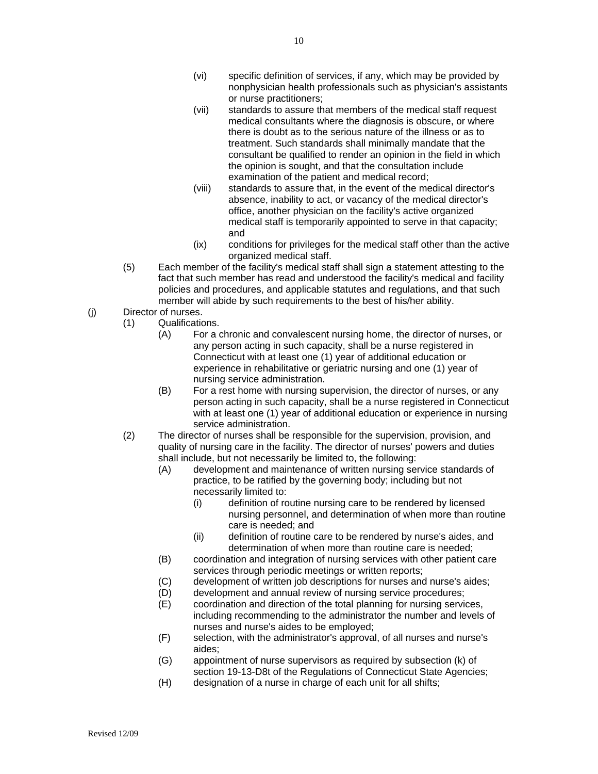- (vi) specific definition of services, if any, which may be provided by nonphysician health professionals such as physician's assistants or nurse practitioners;
- (vii) standards to assure that members of the medical staff request medical consultants where the diagnosis is obscure, or where there is doubt as to the serious nature of the illness or as to treatment. Such standards shall minimally mandate that the consultant be qualified to render an opinion in the field in which the opinion is sought, and that the consultation include examination of the patient and medical record;
- (viii) standards to assure that, in the event of the medical director's absence, inability to act, or vacancy of the medical director's office, another physician on the facility's active organized medical staff is temporarily appointed to serve in that capacity; and
- (ix) conditions for privileges for the medical staff other than the active organized medical staff.
- (5) Each member of the facility's medical staff shall sign a statement attesting to the fact that such member has read and understood the facility's medical and facility policies and procedures, and applicable statutes and regulations, and that such member will abide by such requirements to the best of his/her ability.
- (j) Director of nurses.
	- (1) Qualifications.
		- (A) For a chronic and convalescent nursing home, the director of nurses, or any person acting in such capacity, shall be a nurse registered in Connecticut with at least one (1) year of additional education or experience in rehabilitative or geriatric nursing and one (1) year of nursing service administration.
		- (B) For a rest home with nursing supervision, the director of nurses, or any person acting in such capacity, shall be a nurse registered in Connecticut with at least one (1) year of additional education or experience in nursing service administration.
	- (2) The director of nurses shall be responsible for the supervision, provision, and quality of nursing care in the facility. The director of nurses' powers and duties shall include, but not necessarily be limited to, the following:
		- (A) development and maintenance of written nursing service standards of practice, to be ratified by the governing body; including but not necessarily limited to:
			- (i) definition of routine nursing care to be rendered by licensed nursing personnel, and determination of when more than routine care is needed; and
			- (ii) definition of routine care to be rendered by nurse's aides, and determination of when more than routine care is needed;
		- (B) coordination and integration of nursing services with other patient care services through periodic meetings or written reports;
		- (C) development of written job descriptions for nurses and nurse's aides;
		- (D) development and annual review of nursing service procedures;
		- (E) coordination and direction of the total planning for nursing services, including recommending to the administrator the number and levels of nurses and nurse's aides to be employed;
		- (F) selection, with the administrator's approval, of all nurses and nurse's aides;
		- (G) appointment of nurse supervisors as required by subsection (k) of section 19-13-D8t of the Regulations of Connecticut State Agencies;
		- (H) designation of a nurse in charge of each unit for all shifts;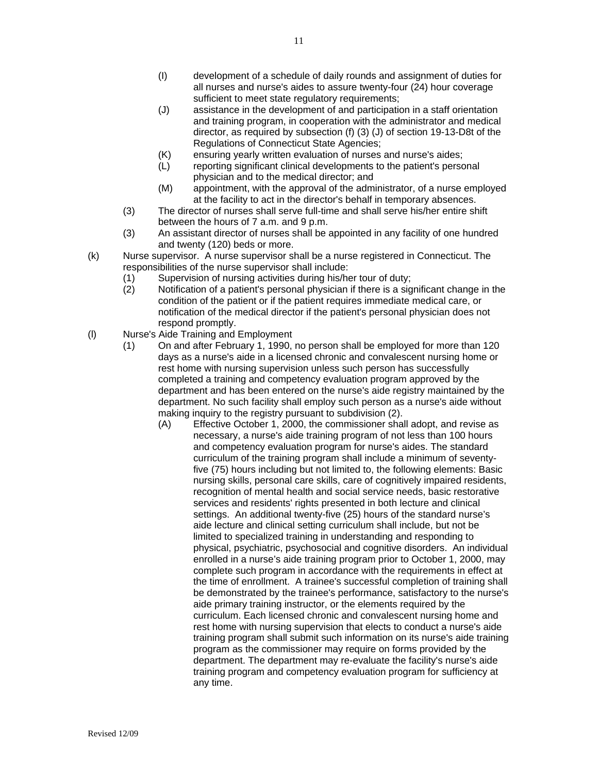- (I) development of a schedule of daily rounds and assignment of duties for all nurses and nurse's aides to assure twenty-four (24) hour coverage sufficient to meet state regulatory requirements:
- (J) assistance in the development of and participation in a staff orientation and training program, in cooperation with the administrator and medical director, as required by subsection (f) (3) (J) of section 19-13-D8t of the Regulations of Connecticut State Agencies;
- (K) ensuring yearly written evaluation of nurses and nurse's aides;
- (L) reporting significant clinical developments to the patient's personal physician and to the medical director; and
- (M) appointment, with the approval of the administrator, of a nurse employed at the facility to act in the director's behalf in temporary absences.
- (3) The director of nurses shall serve full-time and shall serve his/her entire shift between the hours of 7 a.m. and 9 p.m.
- (3) An assistant director of nurses shall be appointed in any facility of one hundred and twenty (120) beds or more.
- (k) Nurse supervisor. A nurse supervisor shall be a nurse registered in Connecticut. The responsibilities of the nurse supervisor shall include:
	- (1) Supervision of nursing activities during his/her tour of duty;
	- (2) Notification of a patient's personal physician if there is a significant change in the condition of the patient or if the patient requires immediate medical care, or notification of the medical director if the patient's personal physician does not respond promptly.
- (l) Nurse's Aide Training and Employment
	- (1) On and after February 1, 1990, no person shall be employed for more than 120 days as a nurse's aide in a licensed chronic and convalescent nursing home or rest home with nursing supervision unless such person has successfully completed a training and competency evaluation program approved by the department and has been entered on the nurse's aide registry maintained by the department. No such facility shall employ such person as a nurse's aide without making inquiry to the registry pursuant to subdivision (2).
		- (A) Effective October 1, 2000, the commissioner shall adopt, and revise as necessary, a nurse's aide training program of not less than 100 hours and competency evaluation program for nurse's aides. The standard curriculum of the training program shall include a minimum of seventyfive (75) hours including but not limited to, the following elements: Basic nursing skills, personal care skills, care of cognitively impaired residents, recognition of mental health and social service needs, basic restorative services and residents' rights presented in both lecture and clinical settings. An additional twenty-five (25) hours of the standard nurse's aide lecture and clinical setting curriculum shall include, but not be limited to specialized training in understanding and responding to physical, psychiatric, psychosocial and cognitive disorders. An individual enrolled in a nurse's aide training program prior to October 1, 2000, may complete such program in accordance with the requirements in effect at the time of enrollment. A trainee's successful completion of training shall be demonstrated by the trainee's performance, satisfactory to the nurse's aide primary training instructor, or the elements required by the curriculum. Each licensed chronic and convalescent nursing home and rest home with nursing supervision that elects to conduct a nurse's aide training program shall submit such information on its nurse's aide training program as the commissioner may require on forms provided by the department. The department may re-evaluate the facility's nurse's aide training program and competency evaluation program for sufficiency at any time.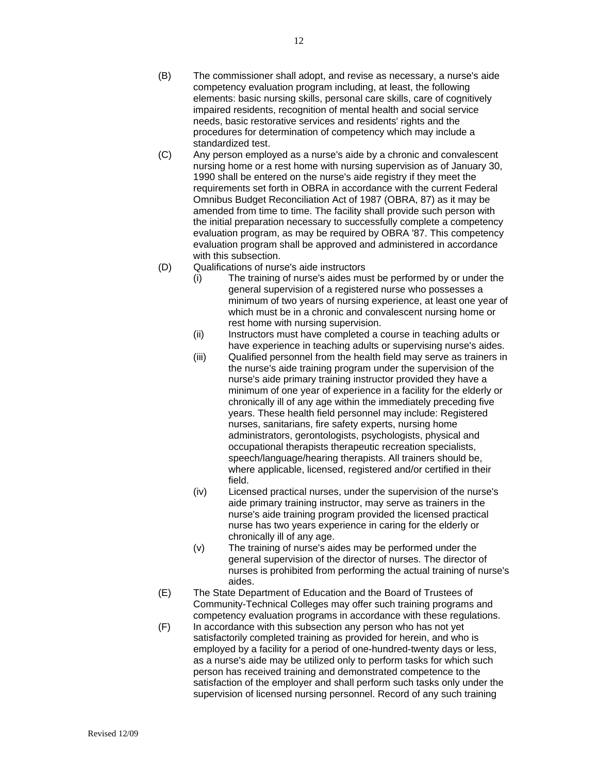- (B) The commissioner shall adopt, and revise as necessary, a nurse's aide competency evaluation program including, at least, the following elements: basic nursing skills, personal care skills, care of cognitively impaired residents, recognition of mental health and social service needs, basic restorative services and residents' rights and the procedures for determination of competency which may include a standardized test.
- (C) Any person employed as a nurse's aide by a chronic and convalescent nursing home or a rest home with nursing supervision as of January 30, 1990 shall be entered on the nurse's aide registry if they meet the requirements set forth in OBRA in accordance with the current Federal Omnibus Budget Reconciliation Act of 1987 (OBRA, 87) as it may be amended from time to time. The facility shall provide such person with the initial preparation necessary to successfully complete a competency evaluation program, as may be required by OBRA '87. This competency evaluation program shall be approved and administered in accordance with this subsection.
- (D) Qualifications of nurse's aide instructors
	- (i) The training of nurse's aides must be performed by or under the general supervision of a registered nurse who possesses a minimum of two years of nursing experience, at least one year of which must be in a chronic and convalescent nursing home or rest home with nursing supervision.
	- (ii) Instructors must have completed a course in teaching adults or have experience in teaching adults or supervising nurse's aides.
	- (iii) Qualified personnel from the health field may serve as trainers in the nurse's aide training program under the supervision of the nurse's aide primary training instructor provided they have a minimum of one year of experience in a facility for the elderly or chronically ill of any age within the immediately preceding five years. These health field personnel may include: Registered nurses, sanitarians, fire safety experts, nursing home administrators, gerontologists, psychologists, physical and occupational therapists therapeutic recreation specialists, speech/language/hearing therapists. All trainers should be, where applicable, licensed, registered and/or certified in their field.
	- (iv) Licensed practical nurses, under the supervision of the nurse's aide primary training instructor, may serve as trainers in the nurse's aide training program provided the licensed practical nurse has two years experience in caring for the elderly or chronically ill of any age.
	- (v) The training of nurse's aides may be performed under the general supervision of the director of nurses. The director of nurses is prohibited from performing the actual training of nurse's aides.
- (E) The State Department of Education and the Board of Trustees of Community-Technical Colleges may offer such training programs and competency evaluation programs in accordance with these regulations.
- (F) In accordance with this subsection any person who has not yet satisfactorily completed training as provided for herein, and who is employed by a facility for a period of one-hundred-twenty days or less, as a nurse's aide may be utilized only to perform tasks for which such person has received training and demonstrated competence to the satisfaction of the employer and shall perform such tasks only under the supervision of licensed nursing personnel. Record of any such training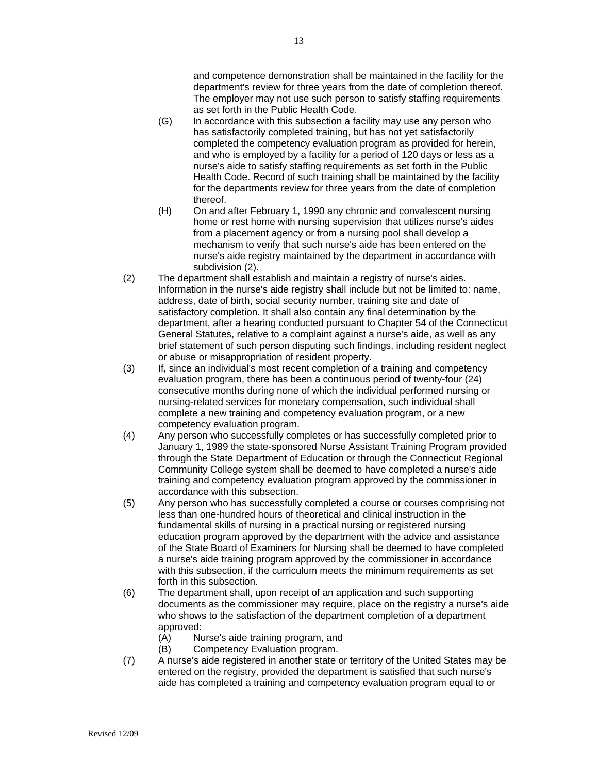and competence demonstration shall be maintained in the facility for the department's review for three years from the date of completion thereof. The employer may not use such person to satisfy staffing requirements as set forth in the Public Health Code.

- (G) In accordance with this subsection a facility may use any person who has satisfactorily completed training, but has not yet satisfactorily completed the competency evaluation program as provided for herein, and who is employed by a facility for a period of 120 days or less as a nurse's aide to satisfy staffing requirements as set forth in the Public Health Code. Record of such training shall be maintained by the facility for the departments review for three years from the date of completion thereof.
- (H) On and after February 1, 1990 any chronic and convalescent nursing home or rest home with nursing supervision that utilizes nurse's aides from a placement agency or from a nursing pool shall develop a mechanism to verify that such nurse's aide has been entered on the nurse's aide registry maintained by the department in accordance with subdivision (2).
- (2) The department shall establish and maintain a registry of nurse's aides. Information in the nurse's aide registry shall include but not be limited to: name, address, date of birth, social security number, training site and date of satisfactory completion. It shall also contain any final determination by the department, after a hearing conducted pursuant to Chapter 54 of the Connecticut General Statutes, relative to a complaint against a nurse's aide, as well as any brief statement of such person disputing such findings, including resident neglect or abuse or misappropriation of resident property.
- (3) If, since an individual's most recent completion of a training and competency evaluation program, there has been a continuous period of twenty-four (24) consecutive months during none of which the individual performed nursing or nursing-related services for monetary compensation, such individual shall complete a new training and competency evaluation program, or a new competency evaluation program.
- (4) Any person who successfully completes or has successfully completed prior to January 1, 1989 the state-sponsored Nurse Assistant Training Program provided through the State Department of Education or through the Connecticut Regional Community College system shall be deemed to have completed a nurse's aide training and competency evaluation program approved by the commissioner in accordance with this subsection.
- (5) Any person who has successfully completed a course or courses comprising not less than one-hundred hours of theoretical and clinical instruction in the fundamental skills of nursing in a practical nursing or registered nursing education program approved by the department with the advice and assistance of the State Board of Examiners for Nursing shall be deemed to have completed a nurse's aide training program approved by the commissioner in accordance with this subsection, if the curriculum meets the minimum requirements as set forth in this subsection.
- (6) The department shall, upon receipt of an application and such supporting documents as the commissioner may require, place on the registry a nurse's aide who shows to the satisfaction of the department completion of a department approved:
	- (A) Nurse's aide training program, and
	- (B) Competency Evaluation program.
- (7) A nurse's aide registered in another state or territory of the United States may be entered on the registry, provided the department is satisfied that such nurse's aide has completed a training and competency evaluation program equal to or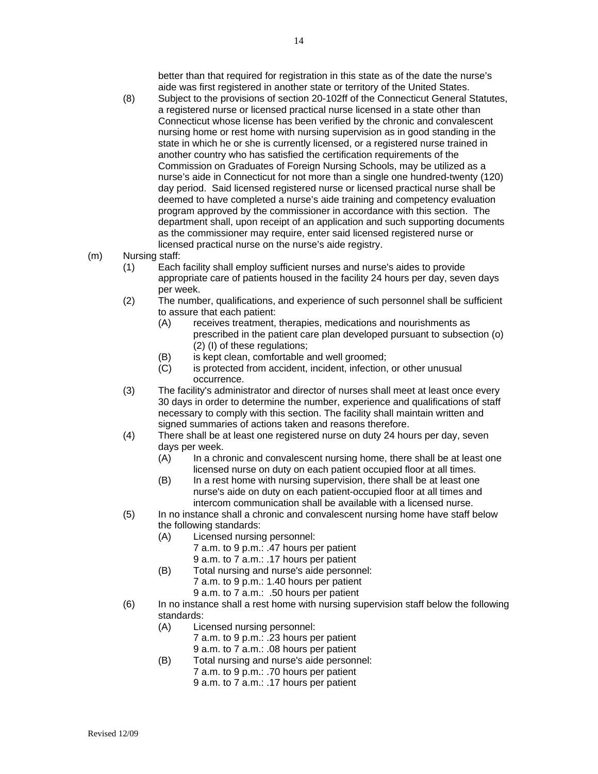better than that required for registration in this state as of the date the nurse's aide was first registered in another state or territory of the United States.

- (8) Subject to the provisions of section 20-102ff of the Connecticut General Statutes, a registered nurse or licensed practical nurse licensed in a state other than Connecticut whose license has been verified by the chronic and convalescent nursing home or rest home with nursing supervision as in good standing in the state in which he or she is currently licensed, or a registered nurse trained in another country who has satisfied the certification requirements of the Commission on Graduates of Foreign Nursing Schools, may be utilized as a nurse's aide in Connecticut for not more than a single one hundred-twenty (120) day period. Said licensed registered nurse or licensed practical nurse shall be deemed to have completed a nurse's aide training and competency evaluation program approved by the commissioner in accordance with this section. The department shall, upon receipt of an application and such supporting documents as the commissioner may require, enter said licensed registered nurse or licensed practical nurse on the nurse's aide registry.
- (m) Nursing staff:
	- (1) Each facility shall employ sufficient nurses and nurse's aides to provide appropriate care of patients housed in the facility 24 hours per day, seven days per week.
	- (2) The number, qualifications, and experience of such personnel shall be sufficient to assure that each patient:
		- (A) receives treatment, therapies, medications and nourishments as prescribed in the patient care plan developed pursuant to subsection (o) (2) (I) of these regulations;
		- (B) is kept clean, comfortable and well groomed;
		- (C) is protected from accident, incident, infection, or other unusual occurrence.
	- (3) The facility's administrator and director of nurses shall meet at least once every 30 days in order to determine the number, experience and qualifications of staff necessary to comply with this section. The facility shall maintain written and signed summaries of actions taken and reasons therefore.
	- (4) There shall be at least one registered nurse on duty 24 hours per day, seven days per week.
		- (A) In a chronic and convalescent nursing home, there shall be at least one licensed nurse on duty on each patient occupied floor at all times.
		- (B) In a rest home with nursing supervision, there shall be at least one nurse's aide on duty on each patient-occupied floor at all times and intercom communication shall be available with a licensed nurse.
	- (5) In no instance shall a chronic and convalescent nursing home have staff below the following standards:
		- (A) Licensed nursing personnel:
			- 7 a.m. to 9 p.m.: .47 hours per patient
			- 9 a.m. to 7 a.m.: .17 hours per patient
		- (B) Total nursing and nurse's aide personnel: 7 a.m. to 9 p.m.: 1.40 hours per patient 9 a.m. to 7 a.m.: .50 hours per patient
			-
	- (6) In no instance shall a rest home with nursing supervision staff below the following standards:
		- (A) Licensed nursing personnel: 7 a.m. to 9 p.m.: .23 hours per patient 9 a.m. to 7 a.m.: .08 hours per patient
		- (B) Total nursing and nurse's aide personnel: 7 a.m. to 9 p.m.: .70 hours per patient 9 a.m. to 7 a.m.: .17 hours per patient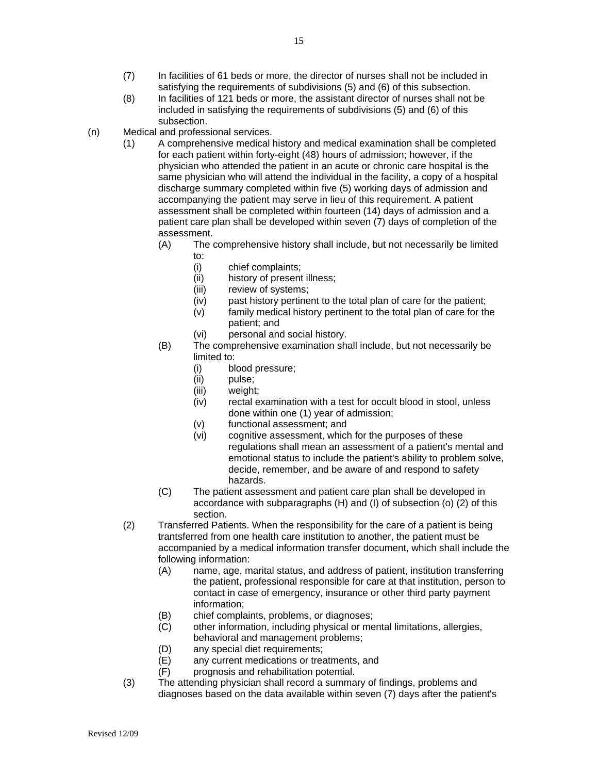- (8) In facilities of 121 beds or more, the assistant director of nurses shall not be included in satisfying the requirements of subdivisions (5) and (6) of this subsection.
- (n) Medical and professional services.
	- (1) A comprehensive medical history and medical examination shall be completed for each patient within forty-eight (48) hours of admission; however, if the physician who attended the patient in an acute or chronic care hospital is the same physician who will attend the individual in the facility, a copy of a hospital discharge summary completed within five (5) working days of admission and accompanying the patient may serve in lieu of this requirement. A patient assessment shall be completed within fourteen (14) days of admission and a patient care plan shall be developed within seven (7) days of completion of the assessment.
		- (A) The comprehensive history shall include, but not necessarily be limited to:
			- (i) chief complaints;
			- (ii) history of present illness;
			- (iii) review of systems;
			- (iv) past history pertinent to the total plan of care for the patient;
			- (v) family medical history pertinent to the total plan of care for the patient; and
			- (vi) personal and social history.
		- (B) The comprehensive examination shall include, but not necessarily be limited to:
			- (i) blood pressure;
			- (ii) pulse;
			- (iii) weight;
			- (iv) rectal examination with a test for occult blood in stool, unless done within one (1) year of admission;
			- (v) functional assessment; and
			- (vi) cognitive assessment, which for the purposes of these regulations shall mean an assessment of a patient's mental and emotional status to include the patient's ability to problem solve, decide, remember, and be aware of and respond to safety hazards.
		- (C) The patient assessment and patient care plan shall be developed in accordance with subparagraphs (H) and (I) of subsection (o) (2) of this section.
	- (2) Transferred Patients. When the responsibility for the care of a patient is being trantsferred from one health care institution to another, the patient must be accompanied by a medical information transfer document, which shall include the following information:
		- (A) name, age, marital status, and address of patient, institution transferring the patient, professional responsible for care at that institution, person to contact in case of emergency, insurance or other third party payment information;
		- (B) chief complaints, problems, or diagnoses;
		- (C) other information, including physical or mental limitations, allergies, behavioral and management problems;
		- (D) any special diet requirements;
		- (E) any current medications or treatments, and
		- (F) prognosis and rehabilitation potential.
	- (3) The attending physician shall record a summary of findings, problems and diagnoses based on the data available within seven (7) days after the patient's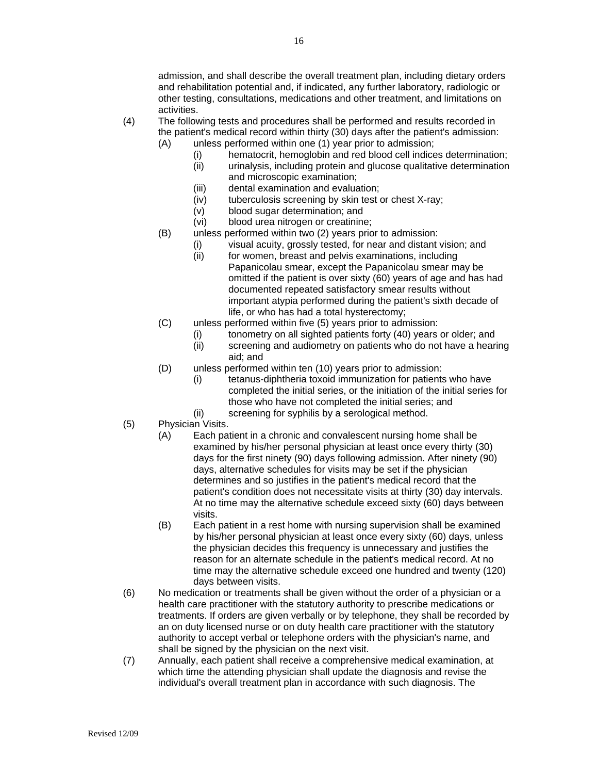admission, and shall describe the overall treatment plan, including dietary orders and rehabilitation potential and, if indicated, any further laboratory, radiologic or other testing, consultations, medications and other treatment, and limitations on activities.

- (4) The following tests and procedures shall be performed and results recorded in the patient's medical record within thirty (30) days after the patient's admission:
	- (A) unless performed within one (1) year prior to admission;
		- (i) hematocrit, hemoglobin and red blood cell indices determination;
		- (ii) urinalysis, including protein and glucose qualitative determination and microscopic examination;
		- (iii) dental examination and evaluation;
		- (iv) tuberculosis screening by skin test or chest X-ray;
		- (v) blood sugar determination; and
		- (vi) blood urea nitrogen or creatinine;
	- (B) unless performed within two (2) years prior to admission:
		- (i) visual acuity, grossly tested, for near and distant vision; and
		- (ii) for women, breast and pelvis examinations, including Papanicolau smear, except the Papanicolau smear may be omitted if the patient is over sixty (60) years of age and has had documented repeated satisfactory smear results without important atypia performed during the patient's sixth decade of life, or who has had a total hysterectomy;
	- (C) unless performed within five (5) years prior to admission:
		- (i) tonometry on all sighted patients forty (40) years or older; and
		- (ii) screening and audiometry on patients who do not have a hearing aid; and
	- (D) unless performed within ten (10) years prior to admission:
		- (i) tetanus-diphtheria toxoid immunization for patients who have completed the initial series, or the initiation of the initial series for those who have not completed the initial series; and
		- (ii) screening for syphilis by a serological method.
- (5) Physician Visits.
	- (A) Each patient in a chronic and convalescent nursing home shall be examined by his/her personal physician at least once every thirty (30) days for the first ninety (90) days following admission. After ninety (90) days, alternative schedules for visits may be set if the physician determines and so justifies in the patient's medical record that the patient's condition does not necessitate visits at thirty (30) day intervals. At no time may the alternative schedule exceed sixty (60) days between visits.
	- (B) Each patient in a rest home with nursing supervision shall be examined by his/her personal physician at least once every sixty (60) days, unless the physician decides this frequency is unnecessary and justifies the reason for an alternate schedule in the patient's medical record. At no time may the alternative schedule exceed one hundred and twenty (120) days between visits.
- (6) No medication or treatments shall be given without the order of a physician or a health care practitioner with the statutory authority to prescribe medications or treatments. If orders are given verbally or by telephone, they shall be recorded by an on duty licensed nurse or on duty health care practitioner with the statutory authority to accept verbal or telephone orders with the physician's name, and shall be signed by the physician on the next visit.
- (7) Annually, each patient shall receive a comprehensive medical examination, at which time the attending physician shall update the diagnosis and revise the individual's overall treatment plan in accordance with such diagnosis. The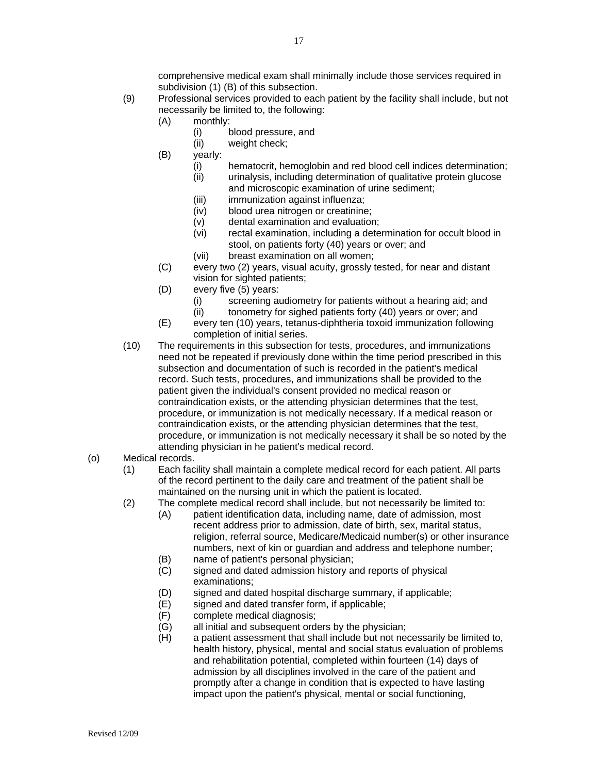comprehensive medical exam shall minimally include those services required in subdivision (1) (B) of this subsection.

- (9) Professional services provided to each patient by the facility shall include, but not necessarily be limited to, the following:
	- (A) monthly:
		- (i) blood pressure, and
		- (ii) weight check;
	- (B) yearly:
		- (i) hematocrit, hemoglobin and red blood cell indices determination;<br>(ii) urinalysis, including determination of qualitative protein glucose urinalysis, including determination of qualitative protein glucose
		- and microscopic examination of urine sediment;
		- (iii) immunization against influenza;
		- (iv) blood urea nitrogen or creatinine;
		- (v) dental examination and evaluation;
		- (vi) rectal examination, including a determination for occult blood in stool, on patients forty (40) years or over; and
		- (vii) breast examination on all women;
	- (C) every two (2) years, visual acuity, grossly tested, for near and distant vision for sighted patients;
	- (D) every five (5) years:
		- (i) screening audiometry for patients without a hearing aid; and
		- (ii) tonometry for sighed patients forty (40) years or over; and
	- (E) every ten (10) years, tetanus-diphtheria toxoid immunization following completion of initial series.
- (10) The requirements in this subsection for tests, procedures, and immunizations need not be repeated if previously done within the time period prescribed in this subsection and documentation of such is recorded in the patient's medical record. Such tests, procedures, and immunizations shall be provided to the patient given the individual's consent provided no medical reason or contraindication exists, or the attending physician determines that the test, procedure, or immunization is not medically necessary. If a medical reason or contraindication exists, or the attending physician determines that the test, procedure, or immunization is not medically necessary it shall be so noted by the attending physician in he patient's medical record.

#### (o) Medical records.

- (1) Each facility shall maintain a complete medical record for each patient. All parts of the record pertinent to the daily care and treatment of the patient shall be maintained on the nursing unit in which the patient is located.
- (2) The complete medical record shall include, but not necessarily be limited to:
	- (A) patient identification data, including name, date of admission, most recent address prior to admission, date of birth, sex, marital status, religion, referral source, Medicare/Medicaid number(s) or other insurance numbers, next of kin or guardian and address and telephone number;
	- (B) name of patient's personal physician;
	- (C) signed and dated admission history and reports of physical examinations;
	- (D) signed and dated hospital discharge summary, if applicable;
	- (E) signed and dated transfer form, if applicable;
	- (F) complete medical diagnosis;
	- (G) all initial and subsequent orders by the physician;
	- (H) a patient assessment that shall include but not necessarily be limited to, health history, physical, mental and social status evaluation of problems and rehabilitation potential, completed within fourteen (14) days of admission by all disciplines involved in the care of the patient and promptly after a change in condition that is expected to have lasting impact upon the patient's physical, mental or social functioning,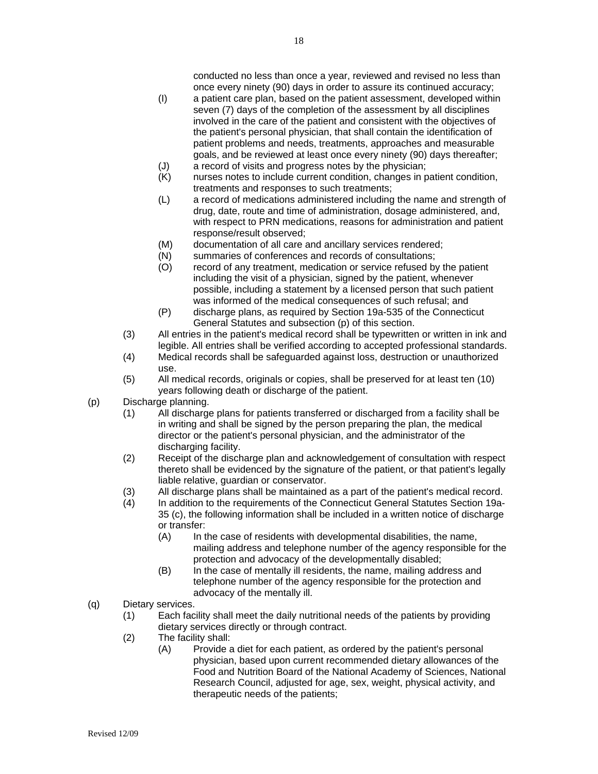conducted no less than once a year, reviewed and revised no less than once every ninety (90) days in order to assure its continued accuracy;

- (I) a patient care plan, based on the patient assessment, developed within seven (7) days of the completion of the assessment by all disciplines involved in the care of the patient and consistent with the objectives of the patient's personal physician, that shall contain the identification of patient problems and needs, treatments, approaches and measurable goals, and be reviewed at least once every ninety (90) days thereafter;
- (J) a record of visits and progress notes by the physician;<br>(K) murses notes to include current condition, changes in p
- nurses notes to include current condition, changes in patient condition, treatments and responses to such treatments;
- (L) a record of medications administered including the name and strength of drug, date, route and time of administration, dosage administered, and, with respect to PRN medications, reasons for administration and patient response/result observed;
- (M) documentation of all care and ancillary services rendered;
- (N) summaries of conferences and records of consultations;
- (O) record of any treatment, medication or service refused by the patient including the visit of a physician, signed by the patient, whenever possible, including a statement by a licensed person that such patient was informed of the medical consequences of such refusal; and
- (P) discharge plans, as required by Section 19a-535 of the Connecticut General Statutes and subsection (p) of this section.
- (3) All entries in the patient's medical record shall be typewritten or written in ink and legible. All entries shall be verified according to accepted professional standards.
- (4) Medical records shall be safeguarded against loss, destruction or unauthorized use.
- (5) All medical records, originals or copies, shall be preserved for at least ten (10) years following death or discharge of the patient.
- (p) Discharge planning.
	- (1) All discharge plans for patients transferred or discharged from a facility shall be in writing and shall be signed by the person preparing the plan, the medical director or the patient's personal physician, and the administrator of the discharging facility.
	- (2) Receipt of the discharge plan and acknowledgement of consultation with respect thereto shall be evidenced by the signature of the patient, or that patient's legally liable relative, guardian or conservator.
	- (3) All discharge plans shall be maintained as a part of the patient's medical record.
	- (4) In addition to the requirements of the Connecticut General Statutes Section 19a-35 (c), the following information shall be included in a written notice of discharge or transfer:
		- (A) In the case of residents with developmental disabilities, the name, mailing address and telephone number of the agency responsible for the protection and advocacy of the developmentally disabled;
		- (B) In the case of mentally ill residents, the name, mailing address and telephone number of the agency responsible for the protection and advocacy of the mentally ill.
- (q) Dietary services.
	- (1) Each facility shall meet the daily nutritional needs of the patients by providing dietary services directly or through contract.
	- (2) The facility shall:
		- (A) Provide a diet for each patient, as ordered by the patient's personal physician, based upon current recommended dietary allowances of the Food and Nutrition Board of the National Academy of Sciences, National Research Council, adjusted for age, sex, weight, physical activity, and therapeutic needs of the patients;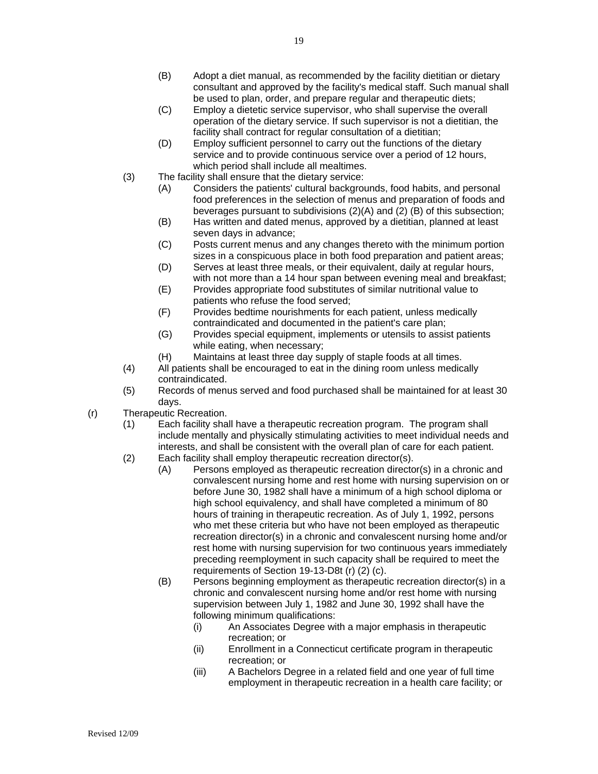- (B) Adopt a diet manual, as recommended by the facility dietitian or dietary consultant and approved by the facility's medical staff. Such manual shall be used to plan, order, and prepare regular and therapeutic diets;
- (C) Employ a dietetic service supervisor, who shall supervise the overall operation of the dietary service. If such supervisor is not a dietitian, the facility shall contract for regular consultation of a dietitian;
- (D) Employ sufficient personnel to carry out the functions of the dietary service and to provide continuous service over a period of 12 hours, which period shall include all mealtimes.
- (3) The facility shall ensure that the dietary service:
	- (A) Considers the patients' cultural backgrounds, food habits, and personal food preferences in the selection of menus and preparation of foods and beverages pursuant to subdivisions (2)(A) and (2) (B) of this subsection;
	- (B) Has written and dated menus, approved by a dietitian, planned at least seven days in advance;
	- (C) Posts current menus and any changes thereto with the minimum portion sizes in a conspicuous place in both food preparation and patient areas;
	- (D) Serves at least three meals, or their equivalent, daily at regular hours, with not more than a 14 hour span between evening meal and breakfast;
	- (E) Provides appropriate food substitutes of similar nutritional value to patients who refuse the food served;
	- (F) Provides bedtime nourishments for each patient, unless medically contraindicated and documented in the patient's care plan;
	- (G) Provides special equipment, implements or utensils to assist patients while eating, when necessary;
	- (H) Maintains at least three day supply of staple foods at all times.
- (4) All patients shall be encouraged to eat in the dining room unless medically contraindicated.
- (5) Records of menus served and food purchased shall be maintained for at least 30 days.
- (r) Therapeutic Recreation.
	- (1) Each facility shall have a therapeutic recreation program. The program shall include mentally and physically stimulating activities to meet individual needs and interests, and shall be consistent with the overall plan of care for each patient.
	- (2) Each facility shall employ therapeutic recreation director(s).
		- (A) Persons employed as therapeutic recreation director(s) in a chronic and convalescent nursing home and rest home with nursing supervision on or before June 30, 1982 shall have a minimum of a high school diploma or high school equivalency, and shall have completed a minimum of 80 hours of training in therapeutic recreation. As of July 1, 1992, persons who met these criteria but who have not been employed as therapeutic recreation director(s) in a chronic and convalescent nursing home and/or rest home with nursing supervision for two continuous years immediately preceding reemployment in such capacity shall be required to meet the requirements of Section 19-13-D8t (r) (2) (c).
		- (B) Persons beginning employment as therapeutic recreation director(s) in a chronic and convalescent nursing home and/or rest home with nursing supervision between July 1, 1982 and June 30, 1992 shall have the following minimum qualifications:
			- (i) An Associates Degree with a major emphasis in therapeutic recreation; or
			- (ii) Enrollment in a Connecticut certificate program in therapeutic recreation; or
			- (iii) A Bachelors Degree in a related field and one year of full time employment in therapeutic recreation in a health care facility; or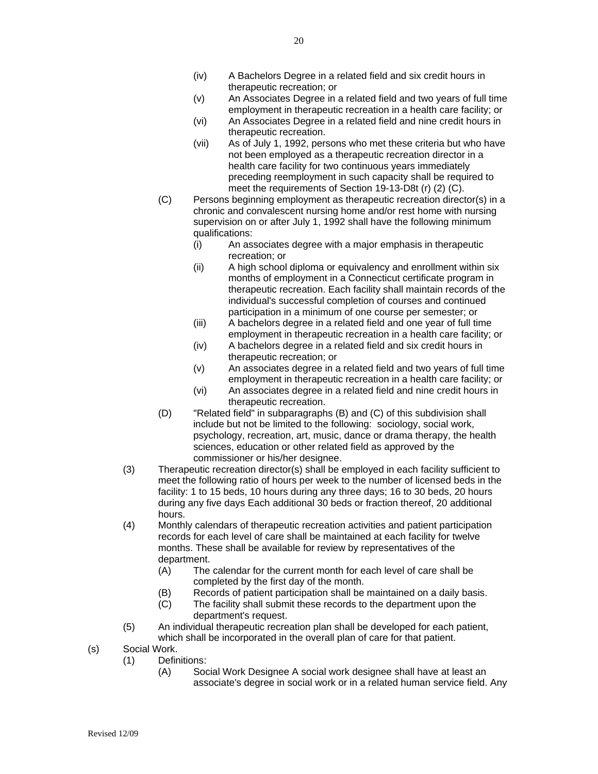20

- (iv) A Bachelors Degree in a related field and six credit hours in therapeutic recreation; or
- (v) An Associates Degree in a related field and two years of full time employment in therapeutic recreation in a health care facility; or
- (vi) An Associates Degree in a related field and nine credit hours in therapeutic recreation.
- (vii) As of July 1, 1992, persons who met these criteria but who have not been employed as a therapeutic recreation director in a health care facility for two continuous years immediately preceding reemployment in such capacity shall be required to meet the requirements of Section 19-13-D8t (r) (2) (C).
- (C) Persons beginning employment as therapeutic recreation director(s) in a chronic and convalescent nursing home and/or rest home with nursing supervision on or after July 1, 1992 shall have the following minimum qualifications:
	- (i) An associates degree with a major emphasis in therapeutic recreation; or
	- (ii) A high school diploma or equivalency and enrollment within six months of employment in a Connecticut certificate program in therapeutic recreation. Each facility shall maintain records of the individual's successful completion of courses and continued participation in a minimum of one course per semester; or
	- (iii) A bachelors degree in a related field and one year of full time employment in therapeutic recreation in a health care facility; or
	- (iv) A bachelors degree in a related field and six credit hours in therapeutic recreation; or
	- (v) An associates degree in a related field and two years of full time employment in therapeutic recreation in a health care facility; or
	- (vi) An associates degree in a related field and nine credit hours in therapeutic recreation.
- (D) "Related field" in subparagraphs (B) and (C) of this subdivision shall include but not be limited to the following: sociology, social work, psychology, recreation, art, music, dance or drama therapy, the health sciences, education or other related field as approved by the commissioner or his/her designee.
- (3) Therapeutic recreation director(s) shall be employed in each facility sufficient to meet the following ratio of hours per week to the number of licensed beds in the facility: 1 to 15 beds, 10 hours during any three days; 16 to 30 beds, 20 hours during any five days Each additional 30 beds or fraction thereof, 20 additional hours.
- (4) Monthly calendars of therapeutic recreation activities and patient participation records for each level of care shall be maintained at each facility for twelve months. These shall be available for review by representatives of the department.
	- (A) The calendar for the current month for each level of care shall be completed by the first day of the month.
	- (B) Records of patient participation shall be maintained on a daily basis.
	- (C) The facility shall submit these records to the department upon the department's request.
- (5) An individual therapeutic recreation plan shall be developed for each patient, which shall be incorporated in the overall plan of care for that patient.
- (s) Social Work.
	- (1) Definitions:
		- (A) Social Work Designee A social work designee shall have at least an associate's degree in social work or in a related human service field. Any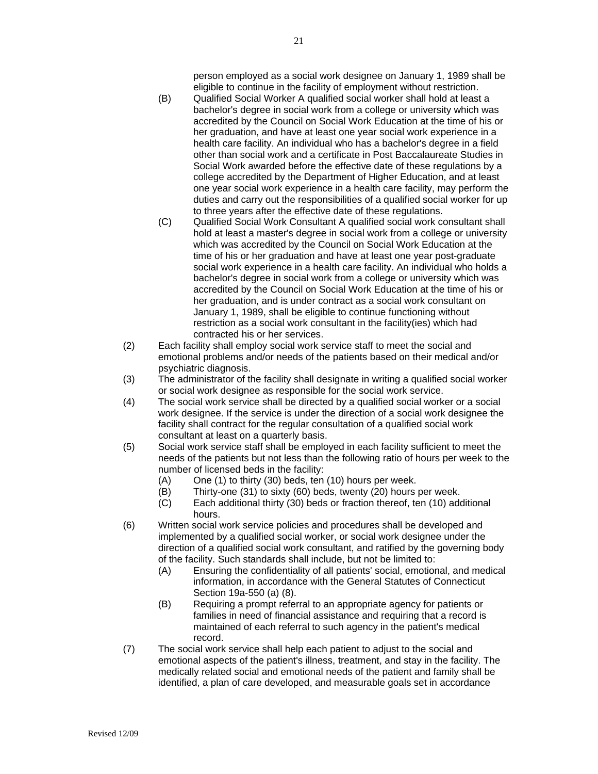person employed as a social work designee on January 1, 1989 shall be eligible to continue in the facility of employment without restriction.

- (B) Qualified Social Worker A qualified social worker shall hold at least a bachelor's degree in social work from a college or university which was accredited by the Council on Social Work Education at the time of his or her graduation, and have at least one year social work experience in a health care facility. An individual who has a bachelor's degree in a field other than social work and a certificate in Post Baccalaureate Studies in Social Work awarded before the effective date of these regulations by a college accredited by the Department of Higher Education, and at least one year social work experience in a health care facility, may perform the duties and carry out the responsibilities of a qualified social worker for up to three years after the effective date of these regulations.
- (C) Qualified Social Work Consultant A qualified social work consultant shall hold at least a master's degree in social work from a college or university which was accredited by the Council on Social Work Education at the time of his or her graduation and have at least one year post-graduate social work experience in a health care facility. An individual who holds a bachelor's degree in social work from a college or university which was accredited by the Council on Social Work Education at the time of his or her graduation, and is under contract as a social work consultant on January 1, 1989, shall be eligible to continue functioning without restriction as a social work consultant in the facility(ies) which had contracted his or her services.
- (2) Each facility shall employ social work service staff to meet the social and emotional problems and/or needs of the patients based on their medical and/or psychiatric diagnosis.
- (3) The administrator of the facility shall designate in writing a qualified social worker or social work designee as responsible for the social work service.
- (4) The social work service shall be directed by a qualified social worker or a social work designee. If the service is under the direction of a social work designee the facility shall contract for the regular consultation of a qualified social work consultant at least on a quarterly basis.
- (5) Social work service staff shall be employed in each facility sufficient to meet the needs of the patients but not less than the following ratio of hours per week to the number of licensed beds in the facility:
	- (A) One (1) to thirty (30) beds, ten (10) hours per week.
	- (B) Thirty-one (31) to sixty (60) beds, twenty (20) hours per week.
	- (C) Each additional thirty (30) beds or fraction thereof, ten (10) additional hours.
- (6) Written social work service policies and procedures shall be developed and implemented by a qualified social worker, or social work designee under the direction of a qualified social work consultant, and ratified by the governing body of the facility. Such standards shall include, but not be limited to:
	- (A) Ensuring the confidentiality of all patients' social, emotional, and medical information, in accordance with the General Statutes of Connecticut Section 19a-550 (a) (8).
	- (B) Requiring a prompt referral to an appropriate agency for patients or families in need of financial assistance and requiring that a record is maintained of each referral to such agency in the patient's medical record.
- (7) The social work service shall help each patient to adjust to the social and emotional aspects of the patient's illness, treatment, and stay in the facility. The medically related social and emotional needs of the patient and family shall be identified, a plan of care developed, and measurable goals set in accordance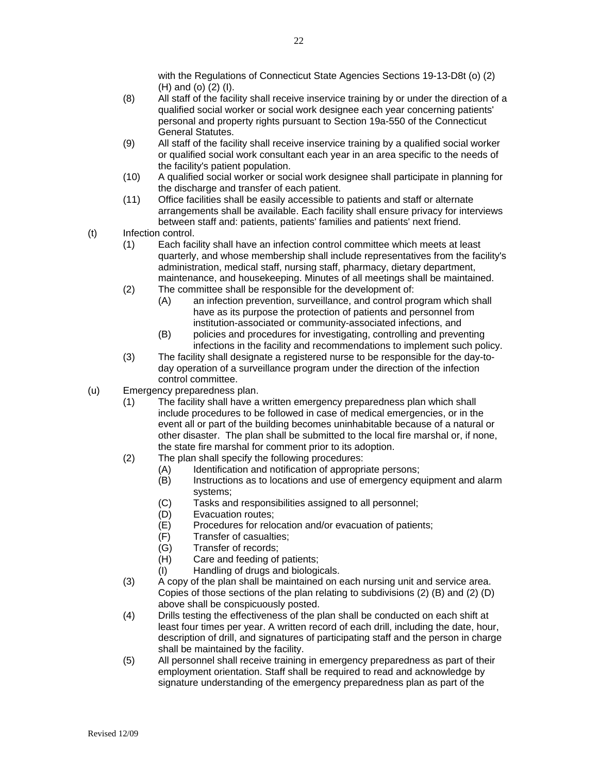- (8) All staff of the facility shall receive inservice training by or under the direction of a qualified social worker or social work designee each year concerning patients' personal and property rights pursuant to Section 19a-550 of the Connecticut General Statutes.
- (9) All staff of the facility shall receive inservice training by a qualified social worker or qualified social work consultant each year in an area specific to the needs of the facility's patient population.
- (10) A qualified social worker or social work designee shall participate in planning for the discharge and transfer of each patient.
- (11) Office facilities shall be easily accessible to patients and staff or alternate arrangements shall be available. Each facility shall ensure privacy for interviews between staff and: patients, patients' families and patients' next friend.
- (t) Infection control.
	- (1) Each facility shall have an infection control committee which meets at least quarterly, and whose membership shall include representatives from the facility's administration, medical staff, nursing staff, pharmacy, dietary department, maintenance, and housekeeping. Minutes of all meetings shall be maintained.
	- (2) The committee shall be responsible for the development of:
		- (A) an infection prevention, surveillance, and control program which shall have as its purpose the protection of patients and personnel from institution-associated or community-associated infections, and
		- (B) policies and procedures for investigating, controlling and preventing infections in the facility and recommendations to implement such policy.
	- (3) The facility shall designate a registered nurse to be responsible for the day-today operation of a surveillance program under the direction of the infection control committee.
- (u) Emergency preparedness plan.
	- (1) The facility shall have a written emergency preparedness plan which shall include procedures to be followed in case of medical emergencies, or in the event all or part of the building becomes uninhabitable because of a natural or other disaster. The plan shall be submitted to the local fire marshal or, if none, the state fire marshal for comment prior to its adoption.
	- (2) The plan shall specify the following procedures:
		- (A) Identification and notification of appropriate persons:
		- (B) Instructions as to locations and use of emergency equipment and alarm systems;
		- (C) Tasks and responsibilities assigned to all personnel;
		- (D) Evacuation routes;
		- (E) Procedures for relocation and/or evacuation of patients;
		- (F) Transfer of casualties;
		- (G) Transfer of records;
		- (H) Care and feeding of patients;
		- (I) Handling of drugs and biologicals.
	- (3) A copy of the plan shall be maintained on each nursing unit and service area. Copies of those sections of the plan relating to subdivisions (2) (B) and (2) (D) above shall be conspicuously posted.
	- (4) Drills testing the effectiveness of the plan shall be conducted on each shift at least four times per year. A written record of each drill, including the date, hour, description of drill, and signatures of participating staff and the person in charge shall be maintained by the facility.
	- (5) All personnel shall receive training in emergency preparedness as part of their employment orientation. Staff shall be required to read and acknowledge by signature understanding of the emergency preparedness plan as part of the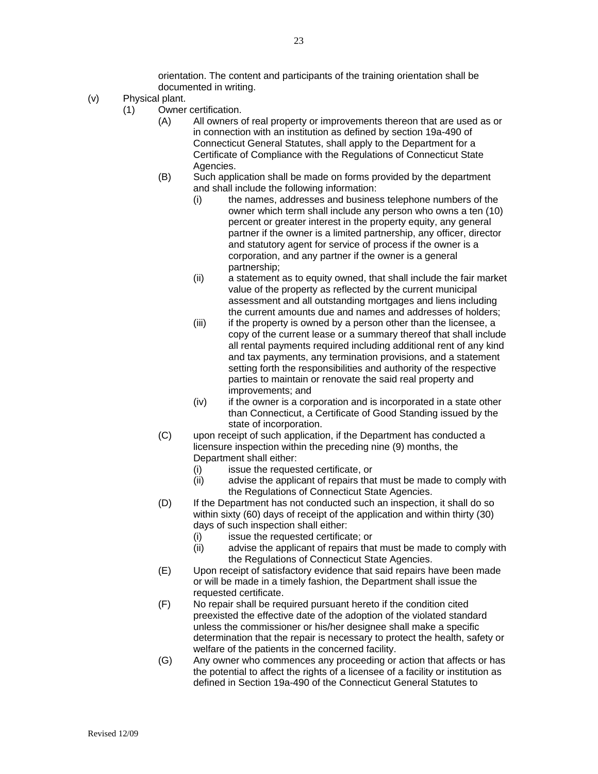orientation. The content and participants of the training orientation shall be documented in writing.

- (v) Physical plant.
	- (1) Owner certification.
		- (A) All owners of real property or improvements thereon that are used as or in connection with an institution as defined by section 19a-490 of Connecticut General Statutes, shall apply to the Department for a Certificate of Compliance with the Regulations of Connecticut State Agencies.
		- (B) Such application shall be made on forms provided by the department and shall include the following information:
			- (i) the names, addresses and business telephone numbers of the owner which term shall include any person who owns a ten (10) percent or greater interest in the property equity, any general partner if the owner is a limited partnership, any officer, director and statutory agent for service of process if the owner is a corporation, and any partner if the owner is a general partnership;
			- (ii) a statement as to equity owned, that shall include the fair market value of the property as reflected by the current municipal assessment and all outstanding mortgages and liens including the current amounts due and names and addresses of holders;
			- (iii) if the property is owned by a person other than the licensee, a copy of the current lease or a summary thereof that shall include all rental payments required including additional rent of any kind and tax payments, any termination provisions, and a statement setting forth the responsibilities and authority of the respective parties to maintain or renovate the said real property and improvements; and
			- (iv) if the owner is a corporation and is incorporated in a state other than Connecticut, a Certificate of Good Standing issued by the state of incorporation.
		- (C) upon receipt of such application, if the Department has conducted a licensure inspection within the preceding nine (9) months, the Department shall either:
			- (i) issue the requested certificate, or
			- (ii) advise the applicant of repairs that must be made to comply with the Regulations of Connecticut State Agencies.
		- (D) If the Department has not conducted such an inspection, it shall do so within sixty (60) days of receipt of the application and within thirty (30) days of such inspection shall either:
			- (i) issue the requested certificate; or
			- (ii) advise the applicant of repairs that must be made to comply with the Regulations of Connecticut State Agencies.
		- (E) Upon receipt of satisfactory evidence that said repairs have been made or will be made in a timely fashion, the Department shall issue the requested certificate.
		- (F) No repair shall be required pursuant hereto if the condition cited preexisted the effective date of the adoption of the violated standard unless the commissioner or his/her designee shall make a specific determination that the repair is necessary to protect the health, safety or welfare of the patients in the concerned facility.
		- (G) Any owner who commences any proceeding or action that affects or has the potential to affect the rights of a licensee of a facility or institution as defined in Section 19a-490 of the Connecticut General Statutes to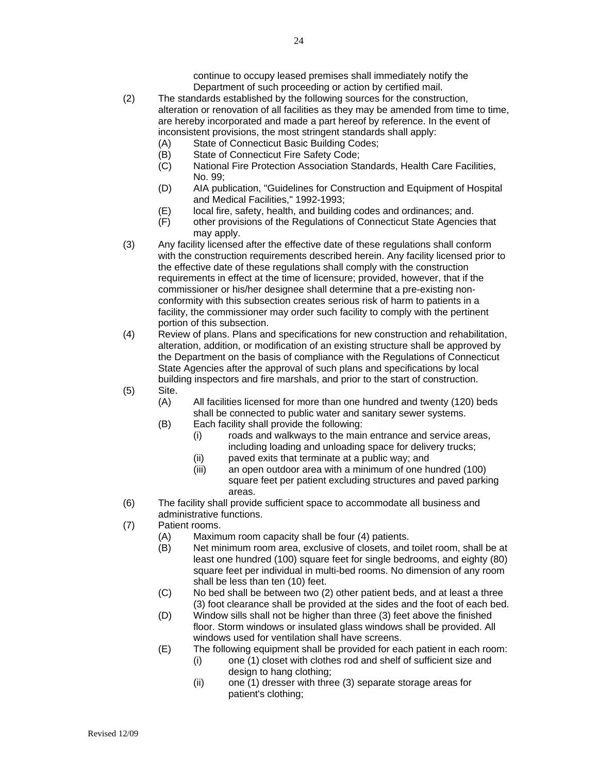- (2) The standards established by the following sources for the construction, alteration or renovation of all facilities as they may be amended from time to time, are hereby incorporated and made a part hereof by reference. In the event of inconsistent provisions, the most stringent standards shall apply:
	- (A) State of Connecticut Basic Building Codes;
	- (B) State of Connecticut Fire Safety Code;
	- (C) National Fire Protection Association Standards, Health Care Facilities, No. 99;
	- (D) AIA publication, "Guidelines for Construction and Equipment of Hospital and Medical Facilities," 1992-1993;
	- (E) local fire, safety, health, and building codes and ordinances; and.
	- (F) other provisions of the Regulations of Connecticut State Agencies that may apply.
- (3) Any facility licensed after the effective date of these regulations shall conform with the construction requirements described herein. Any facility licensed prior to the effective date of these regulations shall comply with the construction requirements in effect at the time of licensure; provided, however, that if the commissioner or his/her designee shall determine that a pre-existing nonconformity with this subsection creates serious risk of harm to patients in a facility, the commissioner may order such facility to comply with the pertinent portion of this subsection.
- (4) Review of plans. Plans and specifications for new construction and rehabilitation, alteration, addition, or modification of an existing structure shall be approved by the Department on the basis of compliance with the Regulations of Connecticut State Agencies after the approval of such plans and specifications by local building inspectors and fire marshals, and prior to the start of construction.
- (5) Site.
	- (A) All facilities licensed for more than one hundred and twenty (120) beds shall be connected to public water and sanitary sewer systems.
	- (B) Each facility shall provide the following:
		- (i) roads and walkways to the main entrance and service areas, including loading and unloading space for delivery trucks;
		- (ii) paved exits that terminate at a public way; and
		- (iii) an open outdoor area with a minimum of one hundred (100) square feet per patient excluding structures and paved parking areas.
- (6) The facility shall provide sufficient space to accommodate all business and administrative functions.
- (7) Patient rooms.
	- (A) Maximum room capacity shall be four (4) patients.
	- (B) Net minimum room area, exclusive of closets, and toilet room, shall be at least one hundred (100) square feet for single bedrooms, and eighty (80) square feet per individual in multi-bed rooms. No dimension of any room shall be less than ten (10) feet.
	- (C) No bed shall be between two (2) other patient beds, and at least a three (3) foot clearance shall be provided at the sides and the foot of each bed.
	- (D) Window sills shall not be higher than three (3) feet above the finished floor. Storm windows or insulated glass windows shall be provided. All windows used for ventilation shall have screens.
	- (E) The following equipment shall be provided for each patient in each room:
		- (i) one (1) closet with clothes rod and shelf of sufficient size and design to hang clothing;
		- (ii) one (1) dresser with three (3) separate storage areas for patient's clothing;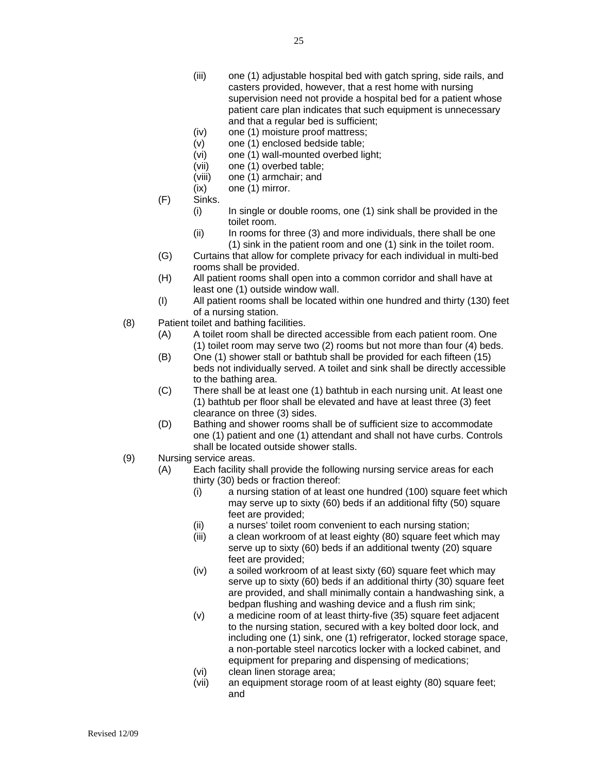- (iii) one (1) adjustable hospital bed with gatch spring, side rails, and casters provided, however, that a rest home with nursing supervision need not provide a hospital bed for a patient whose patient care plan indicates that such equipment is unnecessary and that a regular bed is sufficient;
- (iv) one (1) moisture proof mattress;
- (v) one (1) enclosed bedside table;
- (vi) one (1) wall-mounted overbed light;
- (vii) one (1) overbed table;
- (viii) one (1) armchair; and
- (ix) one (1) mirror.
- (F) Sinks.
	- (i) In single or double rooms, one (1) sink shall be provided in the toilet room.
	- (ii) In rooms for three (3) and more individuals, there shall be one (1) sink in the patient room and one (1) sink in the toilet room.
- (G) Curtains that allow for complete privacy for each individual in multi-bed rooms shall be provided.
- (H) All patient rooms shall open into a common corridor and shall have at least one (1) outside window wall.
- (I) All patient rooms shall be located within one hundred and thirty (130) feet of a nursing station.
- (8) Patient toilet and bathing facilities.
	- (A) A toilet room shall be directed accessible from each patient room. One (1) toilet room may serve two (2) rooms but not more than four (4) beds.
	- (B) One (1) shower stall or bathtub shall be provided for each fifteen (15) beds not individually served. A toilet and sink shall be directly accessible to the bathing area.
	- (C) There shall be at least one (1) bathtub in each nursing unit. At least one (1) bathtub per floor shall be elevated and have at least three (3) feet clearance on three (3) sides.
	- (D) Bathing and shower rooms shall be of sufficient size to accommodate one (1) patient and one (1) attendant and shall not have curbs. Controls shall be located outside shower stalls.
- (9) Nursing service areas.
	- (A) Each facility shall provide the following nursing service areas for each thirty (30) beds or fraction thereof:
		- (i) a nursing station of at least one hundred (100) square feet which may serve up to sixty (60) beds if an additional fifty (50) square feet are provided;
		- (ii) a nurses' toilet room convenient to each nursing station;
		- (iii) a clean workroom of at least eighty (80) square feet which may serve up to sixty (60) beds if an additional twenty (20) square feet are provided;
		- (iv) a soiled workroom of at least sixty (60) square feet which may serve up to sixty (60) beds if an additional thirty (30) square feet are provided, and shall minimally contain a handwashing sink, a bedpan flushing and washing device and a flush rim sink;
		- (v) a medicine room of at least thirty-five (35) square feet adjacent to the nursing station, secured with a key bolted door lock, and including one (1) sink, one (1) refrigerator, locked storage space, a non-portable steel narcotics locker with a locked cabinet, and equipment for preparing and dispensing of medications;
		- (vi) clean linen storage area;
		- (vii) an equipment storage room of at least eighty (80) square feet; and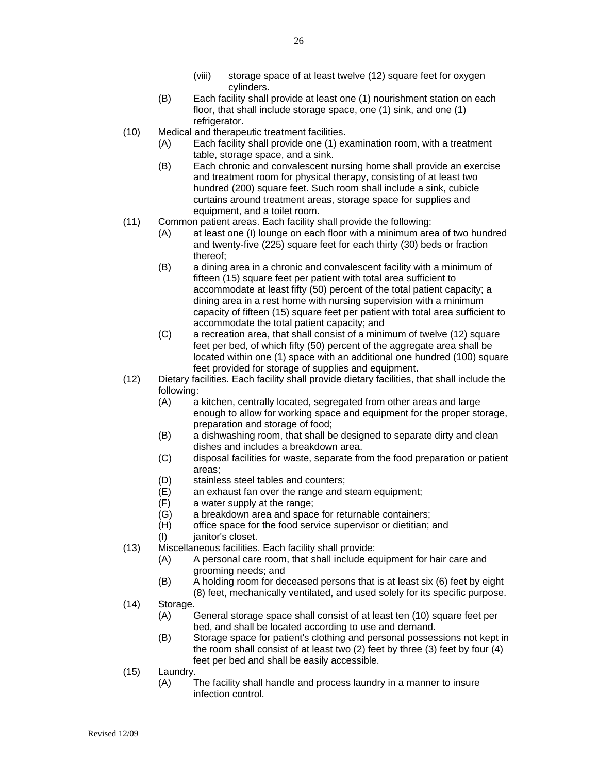- (viii) storage space of at least twelve (12) square feet for oxygen cylinders.
- (B) Each facility shall provide at least one (1) nourishment station on each floor, that shall include storage space, one (1) sink, and one (1) refrigerator.
- (10) Medical and therapeutic treatment facilities.
	- (A) Each facility shall provide one (1) examination room, with a treatment table, storage space, and a sink.
	- (B) Each chronic and convalescent nursing home shall provide an exercise and treatment room for physical therapy, consisting of at least two hundred (200) square feet. Such room shall include a sink, cubicle curtains around treatment areas, storage space for supplies and equipment, and a toilet room.
- (11) Common patient areas. Each facility shall provide the following:
	- (A) at least one (I) lounge on each floor with a minimum area of two hundred and twenty-five (225) square feet for each thirty (30) beds or fraction thereof;
	- (B) a dining area in a chronic and convalescent facility with a minimum of fifteen (15) square feet per patient with total area sufficient to accommodate at least fifty (50) percent of the total patient capacity; a dining area in a rest home with nursing supervision with a minimum capacity of fifteen (15) square feet per patient with total area sufficient to accommodate the total patient capacity; and
	- (C) a recreation area, that shall consist of a minimum of twelve (12) square feet per bed, of which fifty (50) percent of the aggregate area shall be located within one (1) space with an additional one hundred (100) square feet provided for storage of supplies and equipment.
- (12) Dietary facilities. Each facility shall provide dietary facilities, that shall include the following:
	- (A) a kitchen, centrally located, segregated from other areas and large enough to allow for working space and equipment for the proper storage, preparation and storage of food;
	- (B) a dishwashing room, that shall be designed to separate dirty and clean dishes and includes a breakdown area.
	- (C) disposal facilities for waste, separate from the food preparation or patient areas;
	- (D) stainless steel tables and counters;
	- (E) an exhaust fan over the range and steam equipment;
	- (F) a water supply at the range;
	- (G) a breakdown area and space for returnable containers;
	- (H) office space for the food service supervisor or dietitian; and
	- (I) janitor's closet.
- (13) Miscellaneous facilities. Each facility shall provide:
	- (A) A personal care room, that shall include equipment for hair care and grooming needs; and
	- (B) A holding room for deceased persons that is at least six (6) feet by eight (8) feet, mechanically ventilated, and used solely for its specific purpose.
- (14) Storage.
	- (A) General storage space shall consist of at least ten (10) square feet per bed, and shall be located according to use and demand.
	- (B) Storage space for patient's clothing and personal possessions not kept in the room shall consist of at least two (2) feet by three (3) feet by four (4) feet per bed and shall be easily accessible.
- (15) Laundry.
	- (A) The facility shall handle and process laundry in a manner to insure infection control.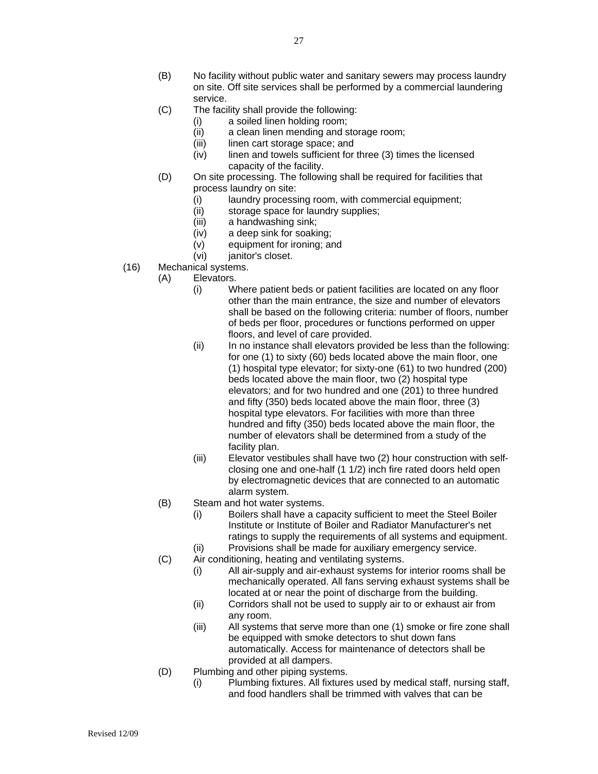- (B) No facility without public water and sanitary sewers may process laundry on site. Off site services shall be performed by a commercial laundering service.
- (C) The facility shall provide the following:
	- (i) a soiled linen holding room;
		- (ii) a clean linen mending and storage room;
		- (iii) linen cart storage space; and
	- (iv) linen and towels sufficient for three (3) times the licensed capacity of the facility.
- (D) On site processing. The following shall be required for facilities that process laundry on site:
	- (i) laundry processing room, with commercial equipment;<br>(ii) storage space for laundry supplies;
	- storage space for laundry supplies;
	- (iii) a handwashing sink;
	- (iv) a deep sink for soaking;
	- (v) equipment for ironing; and
	- (vi) janitor's closet.
- (16) Mechanical systems.
	- (A) Elevators.
		- (i) Where patient beds or patient facilities are located on any floor other than the main entrance, the size and number of elevators shall be based on the following criteria: number of floors, number of beds per floor, procedures or functions performed on upper floors, and level of care provided.
		- (ii) In no instance shall elevators provided be less than the following: for one (1) to sixty (60) beds located above the main floor, one (1) hospital type elevator; for sixty-one (61) to two hundred (200) beds located above the main floor, two (2) hospital type elevators; and for two hundred and one (201) to three hundred and fifty (350) beds located above the main floor, three (3) hospital type elevators. For facilities with more than three hundred and fifty (350) beds located above the main floor, the number of elevators shall be determined from a study of the facility plan.
		- (iii) Elevator vestibules shall have two (2) hour construction with selfclosing one and one-half (1 1/2) inch fire rated doors held open by electromagnetic devices that are connected to an automatic alarm system.
	- (B) Steam and hot water systems.
		- (i) Boilers shall have a capacity sufficient to meet the Steel Boiler Institute or Institute of Boiler and Radiator Manufacturer's net ratings to supply the requirements of all systems and equipment.
		- (ii) Provisions shall be made for auxiliary emergency service.
	- (C) Air conditioning, heating and ventilating systems.
		- (i) All air-supply and air-exhaust systems for interior rooms shall be mechanically operated. All fans serving exhaust systems shall be located at or near the point of discharge from the building.
		- (ii) Corridors shall not be used to supply air to or exhaust air from any room.
		- (iii) All systems that serve more than one (1) smoke or fire zone shall be equipped with smoke detectors to shut down fans automatically. Access for maintenance of detectors shall be provided at all dampers.
	- (D) Plumbing and other piping systems.
		- (i) Plumbing fixtures. All fixtures used by medical staff, nursing staff, and food handlers shall be trimmed with valves that can be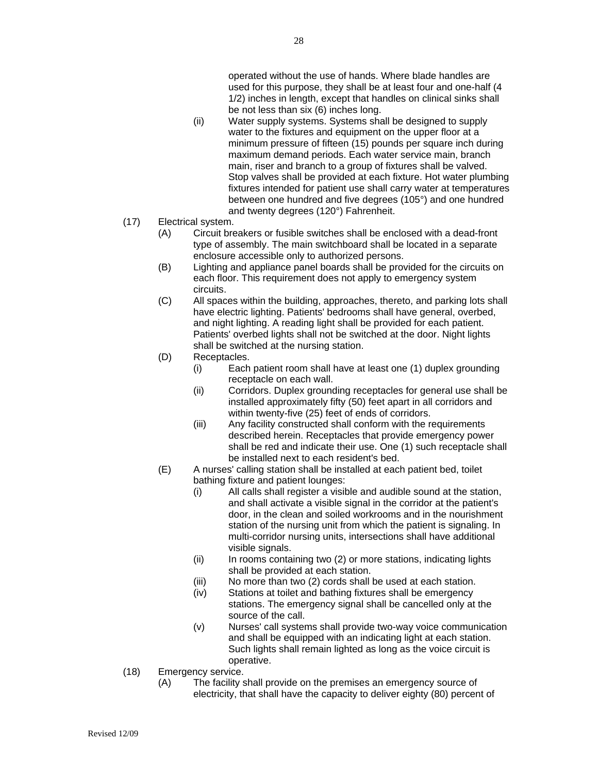operated without the use of hands. Where blade handles are used for this purpose, they shall be at least four and one-half (4 1/2) inches in length, except that handles on clinical sinks shall be not less than six (6) inches long.

- (ii) Water supply systems. Systems shall be designed to supply water to the fixtures and equipment on the upper floor at a minimum pressure of fifteen (15) pounds per square inch during maximum demand periods. Each water service main, branch main, riser and branch to a group of fixtures shall be valved. Stop valves shall be provided at each fixture. Hot water plumbing fixtures intended for patient use shall carry water at temperatures between one hundred and five degrees (105°) and one hundred and twenty degrees (120°) Fahrenheit.
- (17) Electrical system.
	- (A) Circuit breakers or fusible switches shall be enclosed with a dead-front type of assembly. The main switchboard shall be located in a separate enclosure accessible only to authorized persons.
	- (B) Lighting and appliance panel boards shall be provided for the circuits on each floor. This requirement does not apply to emergency system circuits.
	- (C) All spaces within the building, approaches, thereto, and parking lots shall have electric lighting. Patients' bedrooms shall have general, overbed, and night lighting. A reading light shall be provided for each patient. Patients' overbed lights shall not be switched at the door. Night lights shall be switched at the nursing station.
	- (D) Receptacles.
		- (i) Each patient room shall have at least one (1) duplex grounding receptacle on each wall.
		- (ii) Corridors. Duplex grounding receptacles for general use shall be installed approximately fifty (50) feet apart in all corridors and within twenty-five (25) feet of ends of corridors.
		- (iii) Any facility constructed shall conform with the requirements described herein. Receptacles that provide emergency power shall be red and indicate their use. One (1) such receptacle shall be installed next to each resident's bed.
	- (E) A nurses' calling station shall be installed at each patient bed, toilet bathing fixture and patient lounges:
		- (i) All calls shall register a visible and audible sound at the station, and shall activate a visible signal in the corridor at the patient's door, in the clean and soiled workrooms and in the nourishment station of the nursing unit from which the patient is signaling. In multi-corridor nursing units, intersections shall have additional visible signals.
		- (ii) In rooms containing two (2) or more stations, indicating lights shall be provided at each station.
		- (iii) No more than two (2) cords shall be used at each station.
		- (iv) Stations at toilet and bathing fixtures shall be emergency stations. The emergency signal shall be cancelled only at the source of the call.
		- (v) Nurses' call systems shall provide two-way voice communication and shall be equipped with an indicating light at each station. Such lights shall remain lighted as long as the voice circuit is operative.
- (18) Emergency service.
	- (A) The facility shall provide on the premises an emergency source of electricity, that shall have the capacity to deliver eighty (80) percent of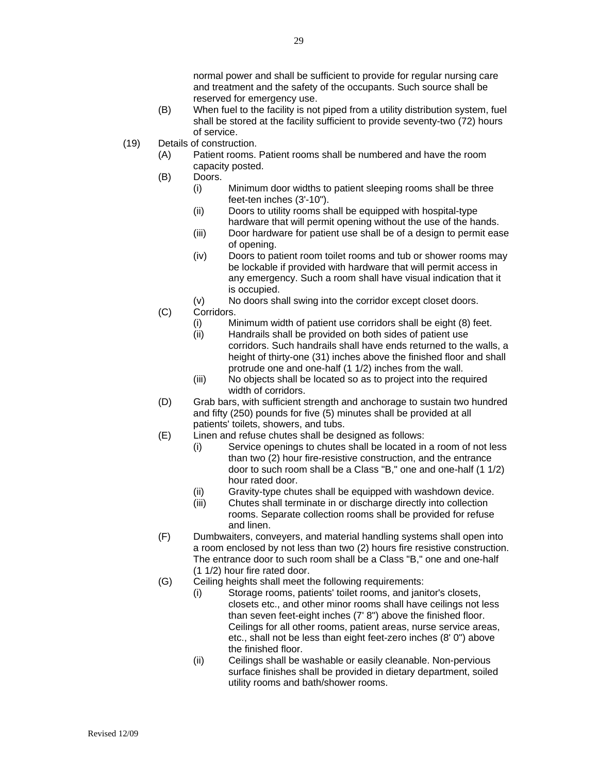- (B) When fuel to the facility is not piped from a utility distribution system, fuel shall be stored at the facility sufficient to provide seventy-two (72) hours of service.
- (19) Details of construction.
	- (A) Patient rooms. Patient rooms shall be numbered and have the room capacity posted.
	- (B) Doors.
		- (i) Minimum door widths to patient sleeping rooms shall be three feet-ten inches (3'-10").
		- (ii) Doors to utility rooms shall be equipped with hospital-type hardware that will permit opening without the use of the hands.
		- (iii) Door hardware for patient use shall be of a design to permit ease of opening.
		- (iv) Doors to patient room toilet rooms and tub or shower rooms may be lockable if provided with hardware that will permit access in any emergency. Such a room shall have visual indication that it is occupied.
		- (v) No doors shall swing into the corridor except closet doors.
	- (C) Corridors.
		- (i) Minimum width of patient use corridors shall be eight (8) feet.<br>(ii) Handrails shall be provided on both sides of patient use
		- Handrails shall be provided on both sides of patient use corridors. Such handrails shall have ends returned to the walls, a height of thirty-one (31) inches above the finished floor and shall protrude one and one-half (1 1/2) inches from the wall.
		- (iii) No objects shall be located so as to project into the required width of corridors.
	- (D) Grab bars, with sufficient strength and anchorage to sustain two hundred and fifty (250) pounds for five (5) minutes shall be provided at all patients' toilets, showers, and tubs.
	- (E) Linen and refuse chutes shall be designed as follows:
		- (i) Service openings to chutes shall be located in a room of not less than two (2) hour fire-resistive construction, and the entrance door to such room shall be a Class "B," one and one-half (1 1/2) hour rated door.
		- (ii) Gravity-type chutes shall be equipped with washdown device.
		- (iii) Chutes shall terminate in or discharge directly into collection rooms. Separate collection rooms shall be provided for refuse and linen.
	- (F) Dumbwaiters, conveyers, and material handling systems shall open into a room enclosed by not less than two (2) hours fire resistive construction. The entrance door to such room shall be a Class "B," one and one-half (1 1/2) hour fire rated door.
	- (G) Ceiling heights shall meet the following requirements:
		- (i) Storage rooms, patients' toilet rooms, and janitor's closets, closets etc., and other minor rooms shall have ceilings not less than seven feet-eight inches (7' 8") above the finished floor. Ceilings for all other rooms, patient areas, nurse service areas, etc., shall not be less than eight feet-zero inches (8' 0") above the finished floor.
		- (ii) Ceilings shall be washable or easily cleanable. Non-pervious surface finishes shall be provided in dietary department, soiled utility rooms and bath/shower rooms.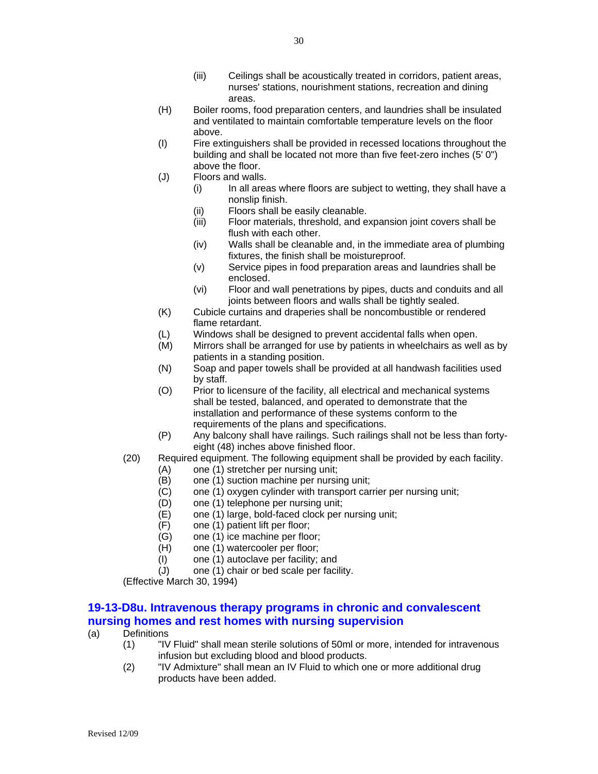- (iii) Ceilings shall be acoustically treated in corridors, patient areas, nurses' stations, nourishment stations, recreation and dining areas.
- (H) Boiler rooms, food preparation centers, and laundries shall be insulated and ventilated to maintain comfortable temperature levels on the floor above.
- (I) Fire extinguishers shall be provided in recessed locations throughout the building and shall be located not more than five feet-zero inches (5' 0") above the floor.
- (J) Floors and walls.
	- (i) In all areas where floors are subject to wetting, they shall have a nonslip finish.
		- (ii) Floors shall be easily cleanable.
		- (iii) Floor materials, threshold, and expansion joint covers shall be flush with each other.
		- (iv) Walls shall be cleanable and, in the immediate area of plumbing fixtures, the finish shall be moistureproof.
		- (v) Service pipes in food preparation areas and laundries shall be enclosed.
		- (vi) Floor and wall penetrations by pipes, ducts and conduits and all joints between floors and walls shall be tightly sealed.
- (K) Cubicle curtains and draperies shall be noncombustible or rendered flame retardant.
- (L) Windows shall be designed to prevent accidental falls when open.
- (M) Mirrors shall be arranged for use by patients in wheelchairs as well as by patients in a standing position.
- (N) Soap and paper towels shall be provided at all handwash facilities used by staff.
- (O) Prior to licensure of the facility, all electrical and mechanical systems shall be tested, balanced, and operated to demonstrate that the installation and performance of these systems conform to the requirements of the plans and specifications.
- (P) Any balcony shall have railings. Such railings shall not be less than fortyeight (48) inches above finished floor.
- (20) Required equipment. The following equipment shall be provided by each facility.
	- (A) one (1) stretcher per nursing unit;
	- (B) one (1) suction machine per nursing unit;
	- (C) one (1) oxygen cylinder with transport carrier per nursing unit;
	- (D) one (1) telephone per nursing unit;
	- (E) one (1) large, bold-faced clock per nursing unit;
	- (F) one (1) patient lift per floor;
	- (G) one (1) ice machine per floor;
	- (H) one (1) watercooler per floor;
	- (I) one (1) autoclave per facility; and  $(J)$  one (1) chair or bed scale per faci
	- one (1) chair or bed scale per facility.

(Effective March 30, 1994)

#### **19-13-D8u. Intravenous therapy programs in chronic and convalescent nursing homes and rest homes with nursing supervision**

- (a) Definitions
	- (1) "IV Fluid" shall mean sterile solutions of 50ml or more, intended for intravenous infusion but excluding blood and blood products.
	- (2) "IV Admixture" shall mean an IV Fluid to which one or more additional drug products have been added.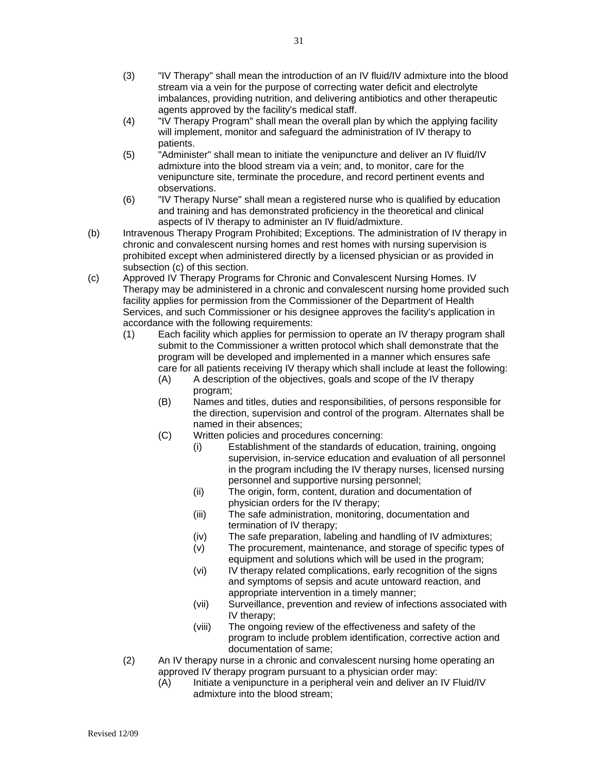- (3) "IV Therapy" shall mean the introduction of an IV fluid/IV admixture into the blood stream via a vein for the purpose of correcting water deficit and electrolyte imbalances, providing nutrition, and delivering antibiotics and other therapeutic agents approved by the facility's medical staff.
- (4) "IV Therapy Program" shall mean the overall plan by which the applying facility will implement, monitor and safeguard the administration of IV therapy to patients.
- (5) "Administer" shall mean to initiate the venipuncture and deliver an IV fluid/IV admixture into the blood stream via a vein; and, to monitor, care for the venipuncture site, terminate the procedure, and record pertinent events and observations.
- (6) "IV Therapy Nurse" shall mean a registered nurse who is qualified by education and training and has demonstrated proficiency in the theoretical and clinical aspects of IV therapy to administer an IV fluid/admixture.
- (b) Intravenous Therapy Program Prohibited; Exceptions. The administration of IV therapy in chronic and convalescent nursing homes and rest homes with nursing supervision is prohibited except when administered directly by a licensed physician or as provided in subsection (c) of this section.
- (c) Approved IV Therapy Programs for Chronic and Convalescent Nursing Homes. IV Therapy may be administered in a chronic and convalescent nursing home provided such facility applies for permission from the Commissioner of the Department of Health Services, and such Commissioner or his designee approves the facility's application in accordance with the following requirements:
	- (1) Each facility which applies for permission to operate an IV therapy program shall submit to the Commissioner a written protocol which shall demonstrate that the program will be developed and implemented in a manner which ensures safe care for all patients receiving IV therapy which shall include at least the following:
		- (A) A description of the objectives, goals and scope of the IV therapy program;
		- (B) Names and titles, duties and responsibilities, of persons responsible for the direction, supervision and control of the program. Alternates shall be named in their absences;
		- (C) Written policies and procedures concerning:
			- (i) Establishment of the standards of education, training, ongoing supervision, in-service education and evaluation of all personnel in the program including the IV therapy nurses, licensed nursing personnel and supportive nursing personnel;
			- (ii) The origin, form, content, duration and documentation of physician orders for the IV therapy;
			- (iii) The safe administration, monitoring, documentation and termination of IV therapy;
			- (iv) The safe preparation, labeling and handling of IV admixtures;
			- (v) The procurement, maintenance, and storage of specific types of equipment and solutions which will be used in the program;
			- (vi) IV therapy related complications, early recognition of the signs and symptoms of sepsis and acute untoward reaction, and appropriate intervention in a timely manner;
			- (vii) Surveillance, prevention and review of infections associated with IV therapy;
			- (viii) The ongoing review of the effectiveness and safety of the program to include problem identification, corrective action and documentation of same;
	- (2) An IV therapy nurse in a chronic and convalescent nursing home operating an approved IV therapy program pursuant to a physician order may:
		- (A) Initiate a venipuncture in a peripheral vein and deliver an IV Fluid/IV admixture into the blood stream;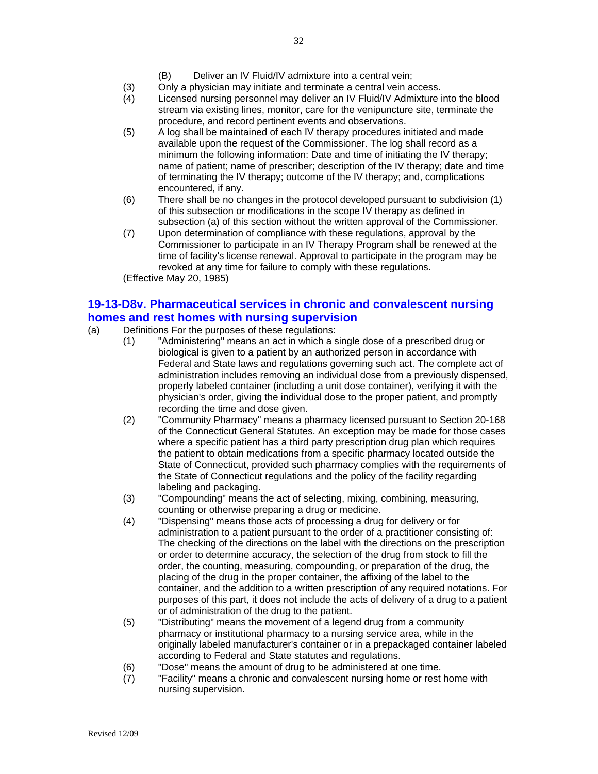- (3) Only a physician may initiate and terminate a central vein access.
- (4) Licensed nursing personnel may deliver an IV Fluid/IV Admixture into the blood stream via existing lines, monitor, care for the venipuncture site, terminate the procedure, and record pertinent events and observations.
- (5) A log shall be maintained of each IV therapy procedures initiated and made available upon the request of the Commissioner. The log shall record as a minimum the following information: Date and time of initiating the IV therapy; name of patient; name of prescriber; description of the IV therapy; date and time of terminating the IV therapy; outcome of the IV therapy; and, complications encountered, if any.
- (6) There shall be no changes in the protocol developed pursuant to subdivision (1) of this subsection or modifications in the scope IV therapy as defined in subsection (a) of this section without the written approval of the Commissioner.
- (7) Upon determination of compliance with these regulations, approval by the Commissioner to participate in an IV Therapy Program shall be renewed at the time of facility's license renewal. Approval to participate in the program may be revoked at any time for failure to comply with these regulations. (Effective May 20, 1985)

### **19-13-D8v. Pharmaceutical services in chronic and convalescent nursing homes and rest homes with nursing supervision**

- (a) Definitions For the purposes of these regulations:
	- (1) "Administering" means an act in which a single dose of a prescribed drug or biological is given to a patient by an authorized person in accordance with Federal and State laws and regulations governing such act. The complete act of administration includes removing an individual dose from a previously dispensed, properly labeled container (including a unit dose container), verifying it with the physician's order, giving the individual dose to the proper patient, and promptly recording the time and dose given.
	- (2) "Community Pharmacy" means a pharmacy licensed pursuant to Section 20-168 of the Connecticut General Statutes. An exception may be made for those cases where a specific patient has a third party prescription drug plan which requires the patient to obtain medications from a specific pharmacy located outside the State of Connecticut, provided such pharmacy complies with the requirements of the State of Connecticut regulations and the policy of the facility regarding labeling and packaging.
	- (3) "Compounding" means the act of selecting, mixing, combining, measuring, counting or otherwise preparing a drug or medicine.
	- (4) "Dispensing" means those acts of processing a drug for delivery or for administration to a patient pursuant to the order of a practitioner consisting of: The checking of the directions on the label with the directions on the prescription or order to determine accuracy, the selection of the drug from stock to fill the order, the counting, measuring, compounding, or preparation of the drug, the placing of the drug in the proper container, the affixing of the label to the container, and the addition to a written prescription of any required notations. For purposes of this part, it does not include the acts of delivery of a drug to a patient or of administration of the drug to the patient.
	- (5) "Distributing" means the movement of a legend drug from a community pharmacy or institutional pharmacy to a nursing service area, while in the originally labeled manufacturer's container or in a prepackaged container labeled according to Federal and State statutes and regulations.
	- (6) "Dose" means the amount of drug to be administered at one time.<br>(7) "Facility" means a chronic and convalescent nursing home or rest
	- "Facility" means a chronic and convalescent nursing home or rest home with nursing supervision.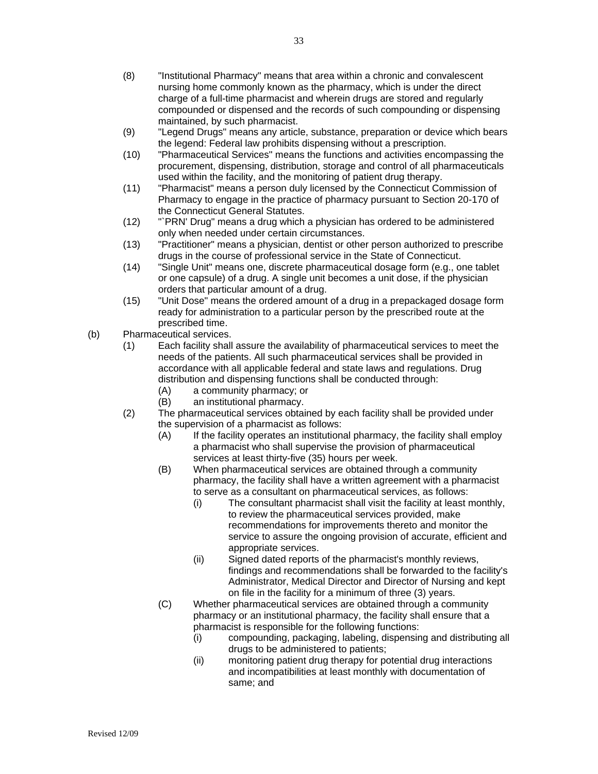- (8) "Institutional Pharmacy" means that area within a chronic and convalescent nursing home commonly known as the pharmacy, which is under the direct charge of a full-time pharmacist and wherein drugs are stored and regularly compounded or dispensed and the records of such compounding or dispensing maintained, by such pharmacist.
- (9) "Legend Drugs" means any article, substance, preparation or device which bears the legend: Federal law prohibits dispensing without a prescription.
- (10) "Pharmaceutical Services" means the functions and activities encompassing the procurement, dispensing, distribution, storage and control of all pharmaceuticals used within the facility, and the monitoring of patient drug therapy.
- (11) "Pharmacist" means a person duly licensed by the Connecticut Commission of Pharmacy to engage in the practice of pharmacy pursuant to Section 20-170 of the Connecticut General Statutes.
- (12) "`PRN' Drug" means a drug which a physician has ordered to be administered only when needed under certain circumstances.
- (13) "Practitioner" means a physician, dentist or other person authorized to prescribe drugs in the course of professional service in the State of Connecticut.
- (14) "Single Unit" means one, discrete pharmaceutical dosage form (e.g., one tablet or one capsule) of a drug. A single unit becomes a unit dose, if the physician orders that particular amount of a drug.
- (15) "Unit Dose" means the ordered amount of a drug in a prepackaged dosage form ready for administration to a particular person by the prescribed route at the prescribed time.
- (b) Pharmaceutical services.
	- (1) Each facility shall assure the availability of pharmaceutical services to meet the needs of the patients. All such pharmaceutical services shall be provided in accordance with all applicable federal and state laws and regulations. Drug distribution and dispensing functions shall be conducted through:
		- (A) a community pharmacy; or
		- (B) an institutional pharmacy.
	- (2) The pharmaceutical services obtained by each facility shall be provided under the supervision of a pharmacist as follows:
		- (A) If the facility operates an institutional pharmacy, the facility shall employ a pharmacist who shall supervise the provision of pharmaceutical services at least thirty-five (35) hours per week.
		- (B) When pharmaceutical services are obtained through a community pharmacy, the facility shall have a written agreement with a pharmacist to serve as a consultant on pharmaceutical services, as follows:
			- (i) The consultant pharmacist shall visit the facility at least monthly, to review the pharmaceutical services provided, make recommendations for improvements thereto and monitor the service to assure the ongoing provision of accurate, efficient and appropriate services.
			- (ii) Signed dated reports of the pharmacist's monthly reviews, findings and recommendations shall be forwarded to the facility's Administrator, Medical Director and Director of Nursing and kept on file in the facility for a minimum of three (3) years.
		- (C) Whether pharmaceutical services are obtained through a community pharmacy or an institutional pharmacy, the facility shall ensure that a pharmacist is responsible for the following functions:
			- (i) compounding, packaging, labeling, dispensing and distributing all drugs to be administered to patients;
			- (ii) monitoring patient drug therapy for potential drug interactions and incompatibilities at least monthly with documentation of same; and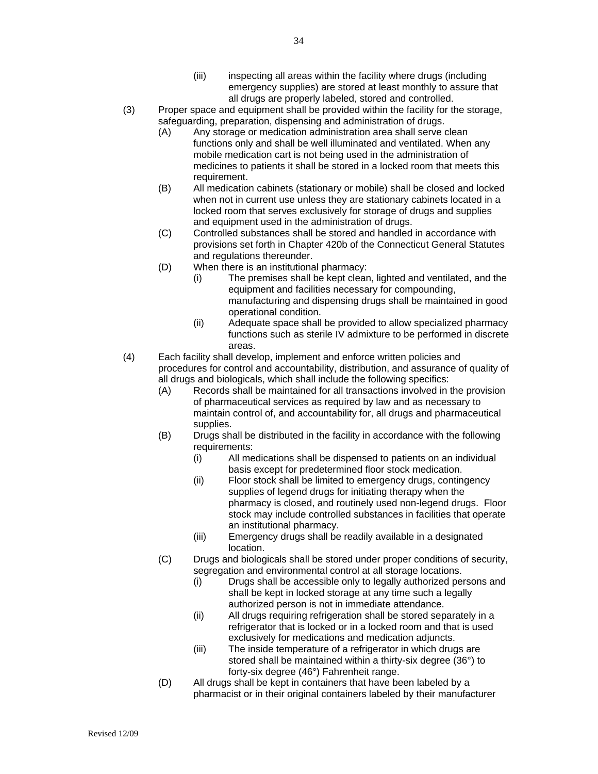- (iii) inspecting all areas within the facility where drugs (including emergency supplies) are stored at least monthly to assure that all drugs are properly labeled, stored and controlled.
- (3) Proper space and equipment shall be provided within the facility for the storage, safeguarding, preparation, dispensing and administration of drugs.
	- (A) Any storage or medication administration area shall serve clean functions only and shall be well illuminated and ventilated. When any mobile medication cart is not being used in the administration of medicines to patients it shall be stored in a locked room that meets this requirement.
	- (B) All medication cabinets (stationary or mobile) shall be closed and locked when not in current use unless they are stationary cabinets located in a locked room that serves exclusively for storage of drugs and supplies and equipment used in the administration of drugs.
	- (C) Controlled substances shall be stored and handled in accordance with provisions set forth in Chapter 420b of the Connecticut General Statutes and regulations thereunder.
	- (D) When there is an institutional pharmacy:
		- (i) The premises shall be kept clean, lighted and ventilated, and the equipment and facilities necessary for compounding, manufacturing and dispensing drugs shall be maintained in good operational condition.
		- (ii) Adequate space shall be provided to allow specialized pharmacy functions such as sterile IV admixture to be performed in discrete areas.
- (4) Each facility shall develop, implement and enforce written policies and procedures for control and accountability, distribution, and assurance of quality of all drugs and biologicals, which shall include the following specifics:
	- (A) Records shall be maintained for all transactions involved in the provision of pharmaceutical services as required by law and as necessary to maintain control of, and accountability for, all drugs and pharmaceutical supplies.
	- (B) Drugs shall be distributed in the facility in accordance with the following requirements:
		- (i) All medications shall be dispensed to patients on an individual basis except for predetermined floor stock medication.
		- (ii) Floor stock shall be limited to emergency drugs, contingency supplies of legend drugs for initiating therapy when the pharmacy is closed, and routinely used non-legend drugs. Floor stock may include controlled substances in facilities that operate an institutional pharmacy.
		- (iii) Emergency drugs shall be readily available in a designated location.
	- (C) Drugs and biologicals shall be stored under proper conditions of security, segregation and environmental control at all storage locations.
		- (i) Drugs shall be accessible only to legally authorized persons and shall be kept in locked storage at any time such a legally authorized person is not in immediate attendance.
		- (ii) All drugs requiring refrigeration shall be stored separately in a refrigerator that is locked or in a locked room and that is used exclusively for medications and medication adjuncts.
		- (iii) The inside temperature of a refrigerator in which drugs are stored shall be maintained within a thirty-six degree (36°) to forty-six degree (46°) Fahrenheit range.
	- (D) All drugs shall be kept in containers that have been labeled by a pharmacist or in their original containers labeled by their manufacturer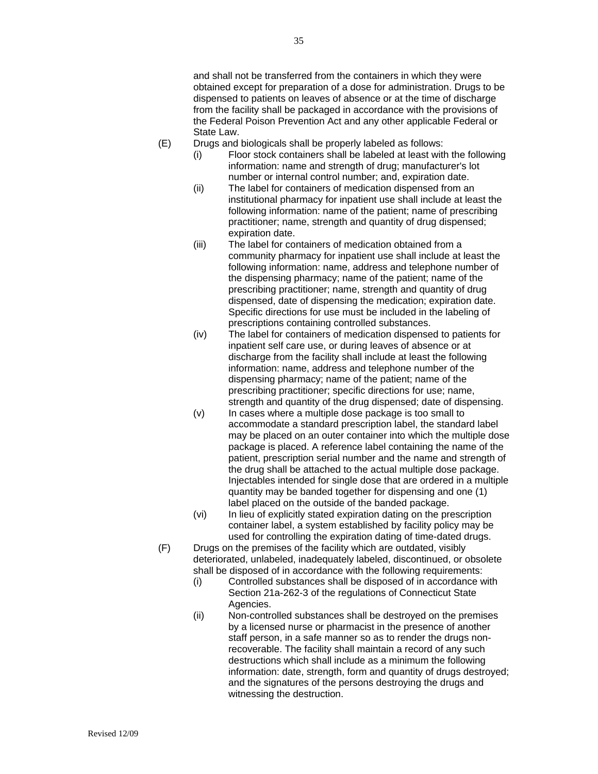and shall not be transferred from the containers in which they were obtained except for preparation of a dose for administration. Drugs to be dispensed to patients on leaves of absence or at the time of discharge from the facility shall be packaged in accordance with the provisions of the Federal Poison Prevention Act and any other applicable Federal or State Law.

- (E) Drugs and biologicals shall be properly labeled as follows:
	- (i) Floor stock containers shall be labeled at least with the following information: name and strength of drug; manufacturer's lot number or internal control number; and, expiration date.
	- (ii) The label for containers of medication dispensed from an institutional pharmacy for inpatient use shall include at least the following information: name of the patient; name of prescribing practitioner; name, strength and quantity of drug dispensed; expiration date.
	- (iii) The label for containers of medication obtained from a community pharmacy for inpatient use shall include at least the following information: name, address and telephone number of the dispensing pharmacy; name of the patient; name of the prescribing practitioner; name, strength and quantity of drug dispensed, date of dispensing the medication; expiration date. Specific directions for use must be included in the labeling of prescriptions containing controlled substances.
	- (iv) The label for containers of medication dispensed to patients for inpatient self care use, or during leaves of absence or at discharge from the facility shall include at least the following information: name, address and telephone number of the dispensing pharmacy; name of the patient; name of the prescribing practitioner; specific directions for use; name, strength and quantity of the drug dispensed; date of dispensing.
	- (v) In cases where a multiple dose package is too small to accommodate a standard prescription label, the standard label may be placed on an outer container into which the multiple dose package is placed. A reference label containing the name of the patient, prescription serial number and the name and strength of the drug shall be attached to the actual multiple dose package. Injectables intended for single dose that are ordered in a multiple quantity may be banded together for dispensing and one (1) label placed on the outside of the banded package.
	- (vi) In lieu of explicitly stated expiration dating on the prescription container label, a system established by facility policy may be used for controlling the expiration dating of time-dated drugs.
- (F) Drugs on the premises of the facility which are outdated, visibly deteriorated, unlabeled, inadequately labeled, discontinued, or obsolete shall be disposed of in accordance with the following requirements:
	- (i) Controlled substances shall be disposed of in accordance with Section 21a-262-3 of the regulations of Connecticut State Agencies.
	- (ii) Non-controlled substances shall be destroyed on the premises by a licensed nurse or pharmacist in the presence of another staff person, in a safe manner so as to render the drugs nonrecoverable. The facility shall maintain a record of any such destructions which shall include as a minimum the following information: date, strength, form and quantity of drugs destroyed; and the signatures of the persons destroying the drugs and witnessing the destruction.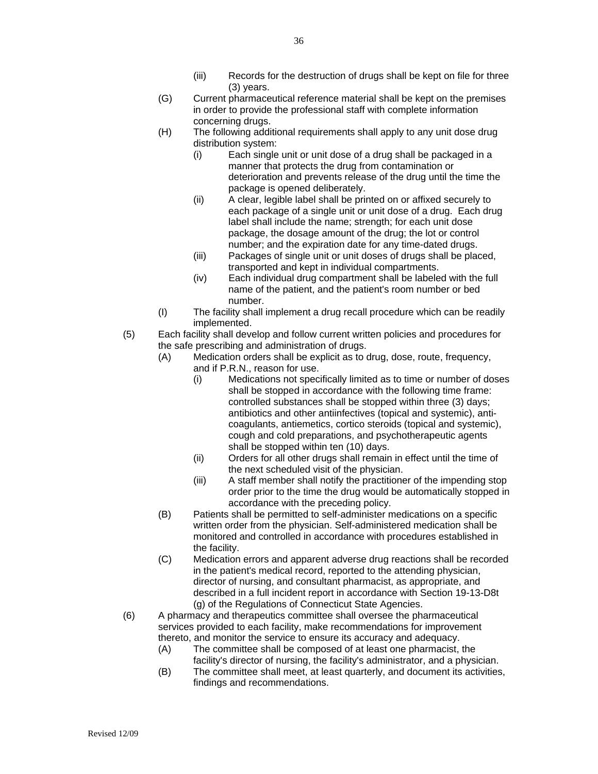- (iii) Records for the destruction of drugs shall be kept on file for three (3) years.
- (G) Current pharmaceutical reference material shall be kept on the premises in order to provide the professional staff with complete information concerning drugs.
- (H) The following additional requirements shall apply to any unit dose drug distribution system:
	- (i) Each single unit or unit dose of a drug shall be packaged in a manner that protects the drug from contamination or deterioration and prevents release of the drug until the time the package is opened deliberately.
	- (ii) A clear, legible label shall be printed on or affixed securely to each package of a single unit or unit dose of a drug. Each drug label shall include the name; strength; for each unit dose package, the dosage amount of the drug; the lot or control number; and the expiration date for any time-dated drugs.
	- (iii) Packages of single unit or unit doses of drugs shall be placed, transported and kept in individual compartments.
	- (iv) Each individual drug compartment shall be labeled with the full name of the patient, and the patient's room number or bed number.
- (I) The facility shall implement a drug recall procedure which can be readily implemented.
- (5) Each facility shall develop and follow current written policies and procedures for the safe prescribing and administration of drugs.
	- (A) Medication orders shall be explicit as to drug, dose, route, frequency,
		- and if P.R.N., reason for use.
		- (i) Medications not specifically limited as to time or number of doses shall be stopped in accordance with the following time frame: controlled substances shall be stopped within three (3) days; antibiotics and other antiinfectives (topical and systemic), anticoagulants, antiemetics, cortico steroids (topical and systemic), cough and cold preparations, and psychotherapeutic agents shall be stopped within ten (10) days.
		- (ii) Orders for all other drugs shall remain in effect until the time of the next scheduled visit of the physician.
		- (iii) A staff member shall notify the practitioner of the impending stop order prior to the time the drug would be automatically stopped in accordance with the preceding policy.
	- (B) Patients shall be permitted to self-administer medications on a specific written order from the physician. Self-administered medication shall be monitored and controlled in accordance with procedures established in the facility.
	- (C) Medication errors and apparent adverse drug reactions shall be recorded in the patient's medical record, reported to the attending physician, director of nursing, and consultant pharmacist, as appropriate, and described in a full incident report in accordance with Section 19-13-D8t (g) of the Regulations of Connecticut State Agencies.
- (6) A pharmacy and therapeutics committee shall oversee the pharmaceutical services provided to each facility, make recommendations for improvement thereto, and monitor the service to ensure its accuracy and adequacy.
	- (A) The committee shall be composed of at least one pharmacist, the facility's director of nursing, the facility's administrator, and a physician.
	- (B) The committee shall meet, at least quarterly, and document its activities, findings and recommendations.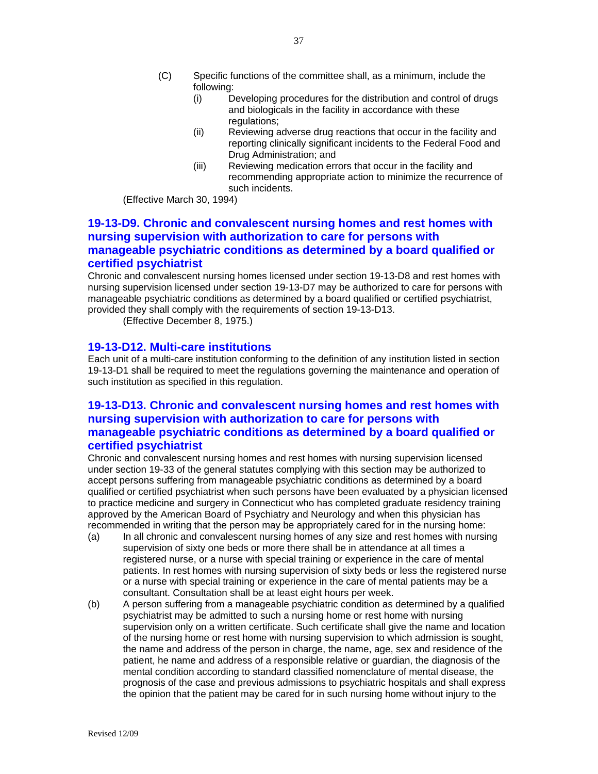- (i) Developing procedures for the distribution and control of drugs and biologicals in the facility in accordance with these regulations;
- (ii) Reviewing adverse drug reactions that occur in the facility and reporting clinically significant incidents to the Federal Food and Drug Administration; and
- (iii) Reviewing medication errors that occur in the facility and recommending appropriate action to minimize the recurrence of such incidents.

(Effective March 30, 1994)

### **19-13-D9. Chronic and convalescent nursing homes and rest homes with nursing supervision with authorization to care for persons with manageable psychiatric conditions as determined by a board qualified or certified psychiatrist**

Chronic and convalescent nursing homes licensed under section 19-13-D8 and rest homes with nursing supervision licensed under section 19-13-D7 may be authorized to care for persons with manageable psychiatric conditions as determined by a board qualified or certified psychiatrist, provided they shall comply with the requirements of section 19-13-D13.

(Effective December 8, 1975.)

#### **19-13-D12. Multi-care institutions**

Each unit of a multi-care institution conforming to the definition of any institution listed in section 19-13-D1 shall be required to meet the regulations governing the maintenance and operation of such institution as specified in this regulation.

### **19-13-D13. Chronic and convalescent nursing homes and rest homes with nursing supervision with authorization to care for persons with manageable psychiatric conditions as determined by a board qualified or certified psychiatrist**

Chronic and convalescent nursing homes and rest homes with nursing supervision licensed under section 19-33 of the general statutes complying with this section may be authorized to accept persons suffering from manageable psychiatric conditions as determined by a board qualified or certified psychiatrist when such persons have been evaluated by a physician licensed to practice medicine and surgery in Connecticut who has completed graduate residency training approved by the American Board of Psychiatry and Neurology and when this physician has recommended in writing that the person may be appropriately cared for in the nursing home:

- (a) In all chronic and convalescent nursing homes of any size and rest homes with nursing supervision of sixty one beds or more there shall be in attendance at all times a registered nurse, or a nurse with special training or experience in the care of mental patients. In rest homes with nursing supervision of sixty beds or less the registered nurse or a nurse with special training or experience in the care of mental patients may be a consultant. Consultation shall be at least eight hours per week.
- (b) A person suffering from a manageable psychiatric condition as determined by a qualified psychiatrist may be admitted to such a nursing home or rest home with nursing supervision only on a written certificate. Such certificate shall give the name and location of the nursing home or rest home with nursing supervision to which admission is sought, the name and address of the person in charge, the name, age, sex and residence of the patient, he name and address of a responsible relative or guardian, the diagnosis of the mental condition according to standard classified nomenclature of mental disease, the prognosis of the case and previous admissions to psychiatric hospitals and shall express the opinion that the patient may be cared for in such nursing home without injury to the